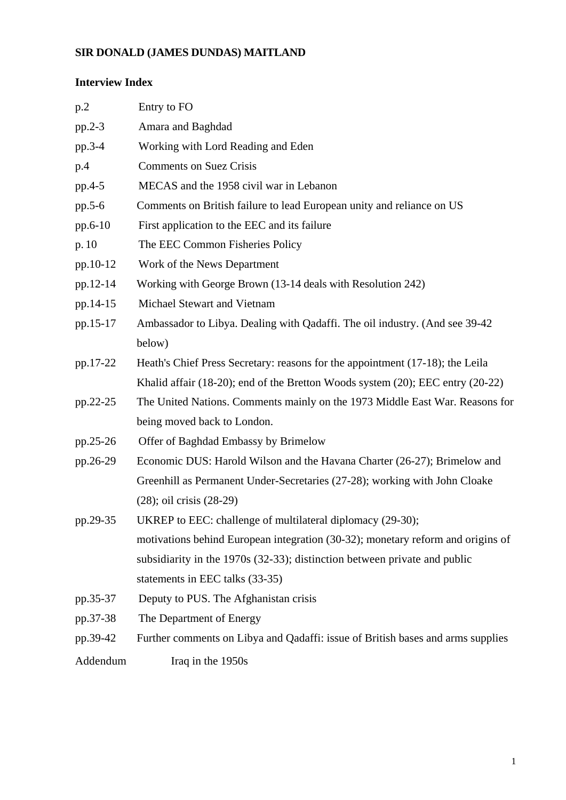# **SIR DONALD (JAMES DUNDAS) MAITLAND**

# **Interview Index**

| p.2      | Entry to FO                                                                     |
|----------|---------------------------------------------------------------------------------|
| pp.2-3   | Amara and Baghdad                                                               |
| pp.3-4   | Working with Lord Reading and Eden                                              |
| p.4      | <b>Comments on Suez Crisis</b>                                                  |
| pp.4-5   | MECAS and the 1958 civil war in Lebanon                                         |
| pp.5-6   | Comments on British failure to lead European unity and reliance on US           |
| pp.6-10  | First application to the EEC and its failure                                    |
| p.10     | The EEC Common Fisheries Policy                                                 |
| pp.10-12 | Work of the News Department                                                     |
| pp.12-14 | Working with George Brown (13-14 deals with Resolution 242)                     |
| pp.14-15 | Michael Stewart and Vietnam                                                     |
| pp.15-17 | Ambassador to Libya. Dealing with Qadaffi. The oil industry. (And see 39-42)    |
|          | below)                                                                          |
| pp.17-22 | Heath's Chief Press Secretary: reasons for the appointment (17-18); the Leila   |
|          | Khalid affair (18-20); end of the Bretton Woods system (20); EEC entry (20-22)  |
| pp.22-25 | The United Nations. Comments mainly on the 1973 Middle East War. Reasons for    |
|          | being moved back to London.                                                     |
| pp.25-26 | Offer of Baghdad Embassy by Brimelow                                            |
| pp.26-29 | Economic DUS: Harold Wilson and the Havana Charter (26-27); Brimelow and        |
|          | Greenhill as Permanent Under-Secretaries (27-28); working with John Cloake      |
|          | $(28)$ ; oil crisis $(28-29)$                                                   |
| pp.29-35 | UKREP to EEC: challenge of multilateral diplomacy (29-30);                      |
|          | motivations behind European integration (30-32); monetary reform and origins of |
|          | subsidiarity in the 1970s (32-33); distinction between private and public       |
|          | statements in EEC talks (33-35)                                                 |
| pp.35-37 | Deputy to PUS. The Afghanistan crisis                                           |
| pp.37-38 | The Department of Energy                                                        |
| pp.39-42 | Further comments on Libya and Qadaffi: issue of British bases and arms supplies |
| Addendum | Iraq in the 1950s                                                               |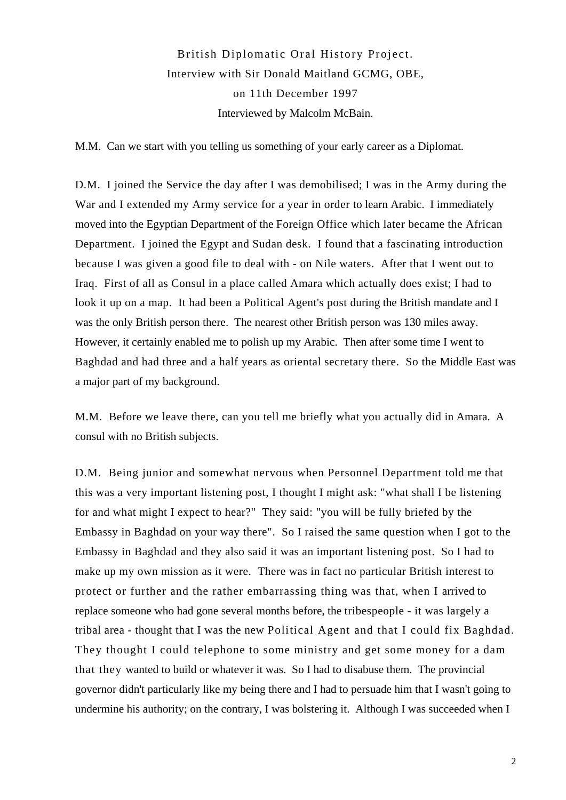# British Diplomatic Oral History Project. Interview with Sir Donald Maitland GCMG, OBE, on 11th December 1997 Interviewed by Malcolm McBain.

M.M. Can we start with you telling us something of your early career as a Diplomat.

D.M. I joined the Service the day after I was demobilised; I was in the Army during the War and I extended my Army service for a year in order to learn Arabic. I immediately moved into the Egyptian Department of the Foreign Office which later became the African Department. I joined the Egypt and Sudan desk. I found that a fascinating introduction because I was given a good file to deal with - on Nile waters. After that I went out to Iraq. First of all as Consul in a place called Amara which actually does exist; I had to look it up on a map. It had been a Political Agent's post during the British mandate and I was the only British person there. The nearest other British person was 130 miles away. However, it certainly enabled me to polish up my Arabic. Then after some time I went to Baghdad and had three and a half years as oriental secretary there. So the Middle East was a major part of my background.

M.M. Before we leave there, can you tell me briefly what you actually did in Amara. A consul with no British subjects.

D.M. Being junior and somewhat nervous when Personnel Department told me that this was a very important listening post, I thought I might ask: "what shall I be listening for and what might I expect to hear?" They said: "you will be fully briefed by the Embassy in Baghdad on your way there". So I raised the same question when I got to the Embassy in Baghdad and they also said it was an important listening post. So I had to make up my own mission as it were. There was in fact no particular British interest to protect or further and the rather embarrassing thing was that, when I arrived to replace someone who had gone several months before, the tribespeople - it was largely a tribal area - thought that I was the new Political Agent and that I could fix Baghdad. They thought I could telephone to some ministry and get some money for a dam that they wanted to build or whatever it was. So I had to disabuse them. The provincial governor didn't particularly like my being there and I had to persuade him that I wasn't going to undermine his authority; on the contrary, I was bolstering it. Although I was succeeded when I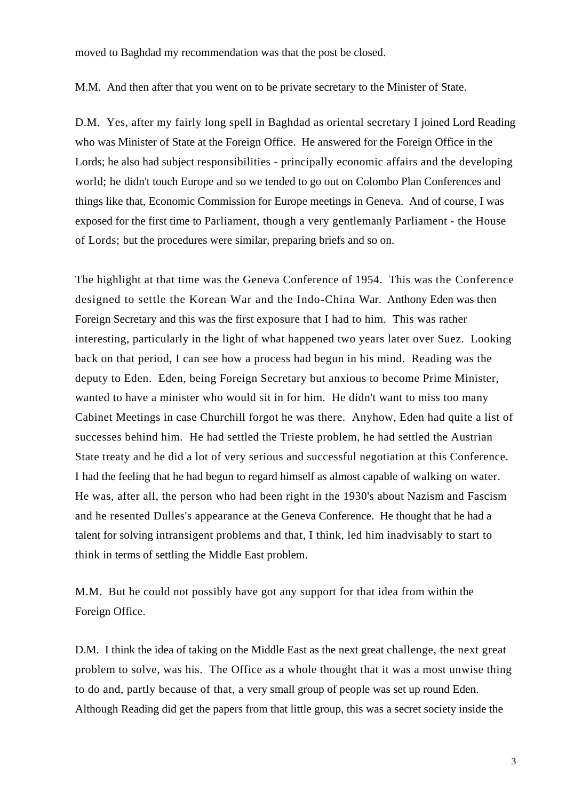moved to Baghdad my recommendation was that the post be closed.

M.M. And then after that you went on to be private secretary to the Minister of State.

D.M. Yes, after my fairly long spell in Baghdad as oriental secretary I joined Lord Reading who was Minister of State at the Foreign Office. He answered for the Foreign Office in the Lords; he also had subject responsibilities - principally economic affairs and the developing world; he didn't touch Europe and so we tended to go out on Colombo Plan Conferences and things like that, Economic Commission for Europe meetings in Geneva. And of course, I was exposed for the first time to Parliament, though a very gentlemanly Parliament - the House of Lords; but the procedures were similar, preparing briefs and so on.

The highlight at that time was the Geneva Conference of 1954. This was the Conference designed to settle the Korean War and the Indo-China War. Anthony Eden was then Foreign Secretary and this was the first exposure that I had to him. This was rather interesting, particularly in the light of what happened two years later over Suez. Looking back on that period, I can see how a process had begun in his mind. Reading was the deputy to Eden. Eden, being Foreign Secretary but anxious to become Prime Minister, wanted to have a minister who would sit in for him. He didn't want to miss too many Cabinet Meetings in case Churchill forgot he was there. Anyhow, Eden had quite a list of successes behind him. He had settled the Trieste problem, he had settled the Austrian State treaty and he did a lot of very serious and successful negotiation at this Conference. I had the feeling that he had begun to regard himself as almost capable of walking on water. He was, after all, the person who had been right in the 1930's about Nazism and Fascism and he resented Dulles's appearance at the Geneva Conference. He thought that he had a talent for solving intransigent problems and that, I think, led him inadvisably to start to think in terms of settling the Middle East problem.

M.M. But he could not possibly have got any support for that idea from within the Foreign Office.

D.M. I think the idea of taking on the Middle East as the next great challenge, the next great problem to solve, was his. The Office as a whole thought that it was a most unwise thing to do and, partly because of that, a very small group of people was set up round Eden. Although Reading did get the papers from that little group, this was a secret society inside the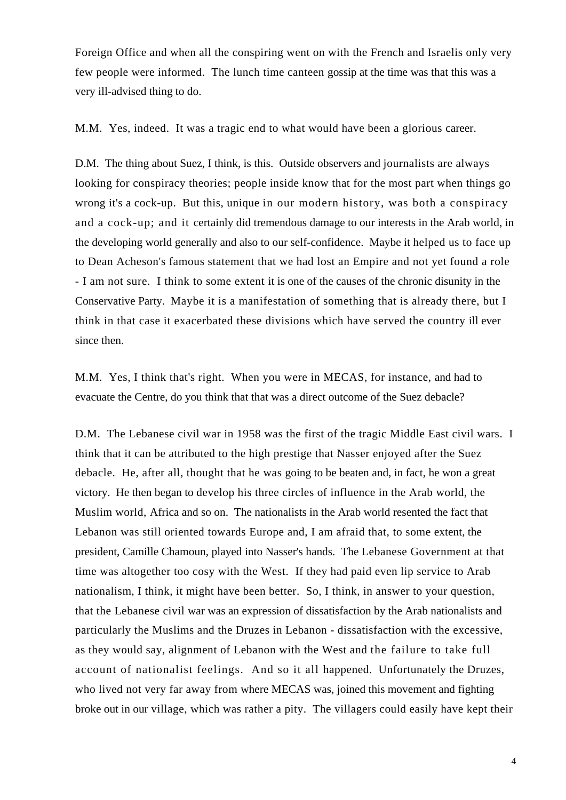Foreign Office and when all the conspiring went on with the French and Israelis only very few people were informed. The lunch time canteen gossip at the time was that this was a very ill-advised thing to do.

M.M. Yes, indeed. It was a tragic end to what would have been a glorious career.

D.M. The thing about Suez, I think, is this. Outside observers and journalists are always looking for conspiracy theories; people inside know that for the most part when things go wrong it's a cock-up. But this, unique in our modern history, was both a conspiracy and a cock-up; and it certainly did tremendous damage to our interests in the Arab world, in the developing world generally and also to our self-confidence. Maybe it helped us to face up to Dean Acheson's famous statement that we had lost an Empire and not yet found a role - I am not sure. I think to some extent it is one of the causes of the chronic disunity in the Conservative Party. Maybe it is a manifestation of something that is already there, but I think in that case it exacerbated these divisions which have served the country ill ever since then.

M.M. Yes, I think that's right. When you were in MECAS, for instance, and had to evacuate the Centre, do you think that that was a direct outcome of the Suez debacle?

D.M. The Lebanese civil war in 1958 was the first of the tragic Middle East civil wars. I think that it can be attributed to the high prestige that Nasser enjoyed after the Suez debacle. He, after all, thought that he was going to be beaten and, in fact, he won a great victory. He then began to develop his three circles of influence in the Arab world, the Muslim world, Africa and so on. The nationalists in the Arab world resented the fact that Lebanon was still oriented towards Europe and, I am afraid that, to some extent, the president, Camille Chamoun, played into Nasser's hands. The Lebanese Government at that time was altogether too cosy with the West. If they had paid even lip service to Arab nationalism, I think, it might have been better. So, I think, in answer to your question, that the Lebanese civil war was an expression of dissatisfaction by the Arab nationalists and particularly the Muslims and the Druzes in Lebanon - dissatisfaction with the excessive, as they would say, alignment of Lebanon with the West and the failure to take full account of nationalist feelings. And so it all happened. Unfortunately the Druzes, who lived not very far away from where MECAS was, joined this movement and fighting broke out in our village, which was rather a pity. The villagers could easily have kept their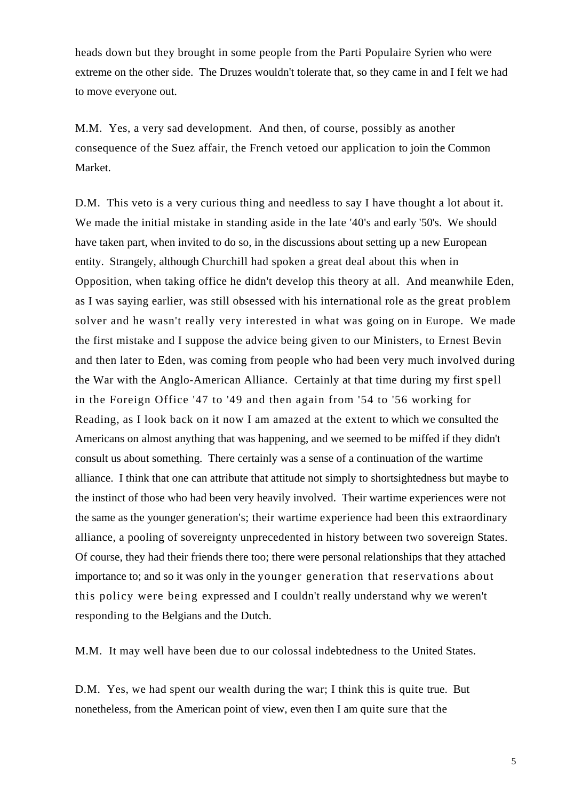heads down but they brought in some people from the Parti Populaire Syrien who were extreme on the other side. The Druzes wouldn't tolerate that, so they came in and I felt we had to move everyone out.

M.M. Yes, a very sad development. And then, of course, possibly as another consequence of the Suez affair, the French vetoed our application to join the Common Market.

D.M. This veto is a very curious thing and needless to say I have thought a lot about it. We made the initial mistake in standing aside in the late '40's and early '50's. We should have taken part, when invited to do so, in the discussions about setting up a new European entity. Strangely, although Churchill had spoken a great deal about this when in Opposition, when taking office he didn't develop this theory at all. And meanwhile Eden, as I was saying earlier, was still obsessed with his international role as the great problem solver and he wasn't really very interested in what was going on in Europe. We made the first mistake and I suppose the advice being given to our Ministers, to Ernest Bevin and then later to Eden, was coming from people who had been very much involved during the War with the Anglo-American Alliance. Certainly at that time during my first spell in the Foreign Office '47 to '49 and then again from '54 to '56 working for Reading, as I look back on it now I am amazed at the extent to which we consulted the Americans on almost anything that was happening, and we seemed to be miffed if they didn't consult us about something. There certainly was a sense of a continuation of the wartime alliance. I think that one can attribute that attitude not simply to shortsightedness but maybe to the instinct of those who had been very heavily involved. Their wartime experiences were not the same as the younger generation's; their wartime experience had been this extraordinary alliance, a pooling of sovereignty unprecedented in history between two sovereign States. Of course, they had their friends there too; there were personal relationships that they attached importance to; and so it was only in the younger generation that reservations about this policy were being expressed and I couldn't really understand why we weren't responding to the Belgians and the Dutch.

M.M. It may well have been due to our colossal indebtedness to the United States.

D.M. Yes, we had spent our wealth during the war; I think this is quite true. But nonetheless, from the American point of view, even then I am quite sure that the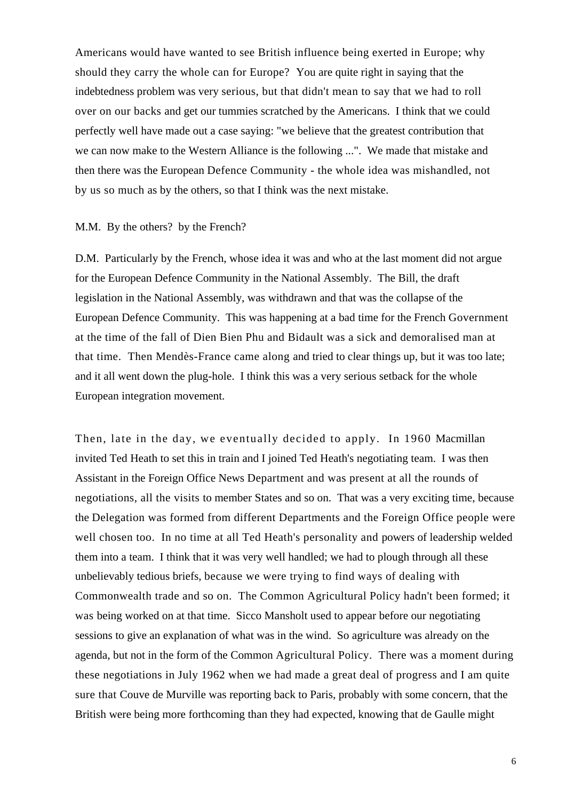Americans would have wanted to see British influence being exerted in Europe; why should they carry the whole can for Europe? You are quite right in saying that the indebtedness problem was very serious, but that didn't mean to say that we had to roll over on our backs and get our tummies scratched by the Americans. I think that we could perfectly well have made out a case saying: "we believe that the greatest contribution that we can now make to the Western Alliance is the following ...". We made that mistake and then there was the European Defence Community - the whole idea was mishandled, not by us so much as by the others, so that I think was the next mistake.

#### M.M. By the others? by the French?

D.M. Particularly by the French, whose idea it was and who at the last moment did not argue for the European Defence Community in the National Assembly. The Bill, the draft legislation in the National Assembly, was withdrawn and that was the collapse of the European Defence Community. This was happening at a bad time for the French Government at the time of the fall of Dien Bien Phu and Bidault was a sick and demoralised man at that time. Then Mendès-France came along and tried to clear things up, but it was too late; and it all went down the plug-hole. I think this was a very serious setback for the whole European integration movement.

Then, late in the day, we eventually decided to apply. In 1960 Macmillan invited Ted Heath to set this in train and I joined Ted Heath's negotiating team. I was then Assistant in the Foreign Office News Department and was present at all the rounds of negotiations, all the visits to member States and so on. That was a very exciting time, because the Delegation was formed from different Departments and the Foreign Office people were well chosen too. In no time at all Ted Heath's personality and powers of leadership welded them into a team. I think that it was very well handled; we had to plough through all these unbelievably tedious briefs, because we were trying to find ways of dealing with Commonwealth trade and so on. The Common Agricultural Policy hadn't been formed; it was being worked on at that time. Sicco Mansholt used to appear before our negotiating sessions to give an explanation of what was in the wind. So agriculture was already on the agenda, but not in the form of the Common Agricultural Policy. There was a moment during these negotiations in July 1962 when we had made a great deal of progress and I am quite sure that Couve de Murville was reporting back to Paris, probably with some concern, that the British were being more forthcoming than they had expected, knowing that de Gaulle might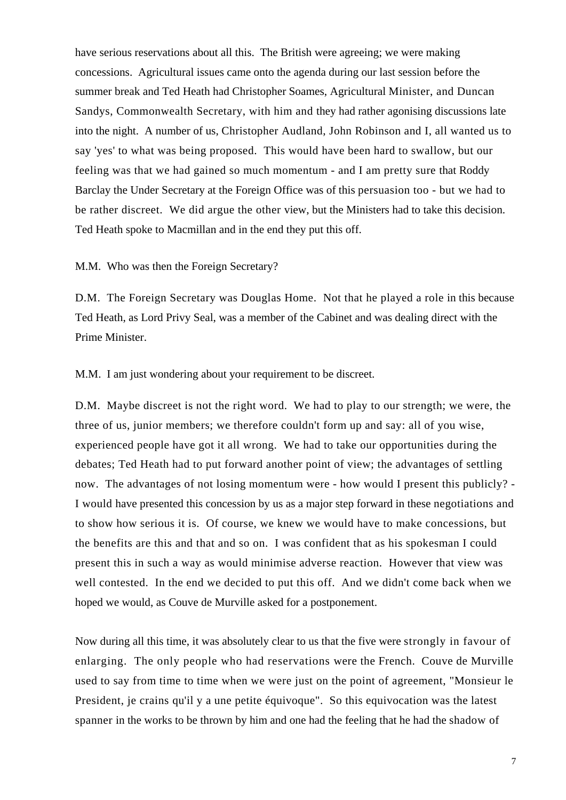have serious reservations about all this. The British were agreeing; we were making concessions. Agricultural issues came onto the agenda during our last session before the summer break and Ted Heath had Christopher Soames, Agricultural Minister, and Duncan Sandys, Commonwealth Secretary, with him and they had rather agonising discussions late into the night. A number of us, Christopher Audland, John Robinson and I, all wanted us to say 'yes' to what was being proposed. This would have been hard to swallow, but our feeling was that we had gained so much momentum - and I am pretty sure that Roddy Barclay the Under Secretary at the Foreign Office was of this persuasion too - but we had to be rather discreet. We did argue the other view, but the Ministers had to take this decision. Ted Heath spoke to Macmillan and in the end they put this off.

M.M. Who was then the Foreign Secretary?

D.M. The Foreign Secretary was Douglas Home. Not that he played a role in this because Ted Heath, as Lord Privy Seal, was a member of the Cabinet and was dealing direct with the Prime Minister.

M.M. I am just wondering about your requirement to be discreet.

D.M. Maybe discreet is not the right word. We had to play to our strength; we were, the three of us, junior members; we therefore couldn't form up and say: all of you wise, experienced people have got it all wrong. We had to take our opportunities during the debates; Ted Heath had to put forward another point of view; the advantages of settling now. The advantages of not losing momentum were - how would I present this publicly? - I would have presented this concession by us as a major step forward in these negotiations and to show how serious it is. Of course, we knew we would have to make concessions, but the benefits are this and that and so on. I was confident that as his spokesman I could present this in such a way as would minimise adverse reaction. However that view was well contested. In the end we decided to put this off. And we didn't come back when we hoped we would, as Couve de Murville asked for a postponement.

Now during all this time, it was absolutely clear to us that the five were strongly in favour of enlarging. The only people who had reservations were the French. Couve de Murville used to say from time to time when we were just on the point of agreement, "Monsieur le President, je crains qu'il y a une petite équivoque". So this equivocation was the latest spanner in the works to be thrown by him and one had the feeling that he had the shadow of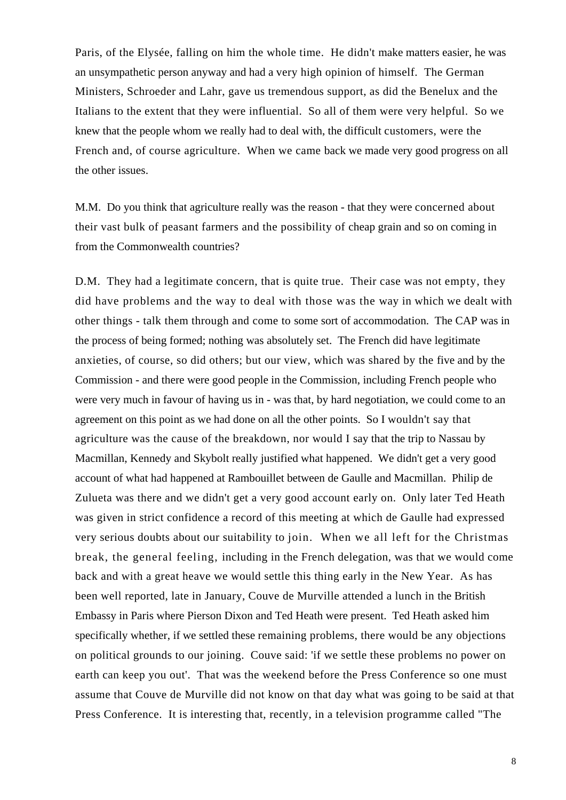Paris, of the Elysée, falling on him the whole time. He didn't make matters easier, he was an unsympathetic person anyway and had a very high opinion of himself. The German Ministers, Schroeder and Lahr, gave us tremendous support, as did the Benelux and the Italians to the extent that they were influential. So all of them were very helpful. So we knew that the people whom we really had to deal with, the difficult customers, were the French and, of course agriculture. When we came back we made very good progress on all the other issues.

M.M. Do you think that agriculture really was the reason - that they were concerned about their vast bulk of peasant farmers and the possibility of cheap grain and so on coming in from the Commonwealth countries?

D.M. They had a legitimate concern, that is quite true. Their case was not empty, they did have problems and the way to deal with those was the way in which we dealt with other things - talk them through and come to some sort of accommodation. The CAP was in the process of being formed; nothing was absolutely set. The French did have legitimate anxieties, of course, so did others; but our view, which was shared by the five and by the Commission - and there were good people in the Commission, including French people who were very much in favour of having us in - was that, by hard negotiation, we could come to an agreement on this point as we had done on all the other points. So I wouldn't say that agriculture was the cause of the breakdown, nor would I say that the trip to Nassau by Macmillan, Kennedy and Skybolt really justified what happened. We didn't get a very good account of what had happened at Rambouillet between de Gaulle and Macmillan. Philip de Zulueta was there and we didn't get a very good account early on. Only later Ted Heath was given in strict confidence a record of this meeting at which de Gaulle had expressed very serious doubts about our suitability to join. When we all left for the Christmas break, the general feeling, including in the French delegation, was that we would come back and with a great heave we would settle this thing early in the New Year. As has been well reported, late in January, Couve de Murville attended a lunch in the British Embassy in Paris where Pierson Dixon and Ted Heath were present. Ted Heath asked him specifically whether, if we settled these remaining problems, there would be any objections on political grounds to our joining. Couve said: 'if we settle these problems no power on earth can keep you out'. That was the weekend before the Press Conference so one must assume that Couve de Murville did not know on that day what was going to be said at that Press Conference. It is interesting that, recently, in a television programme called "The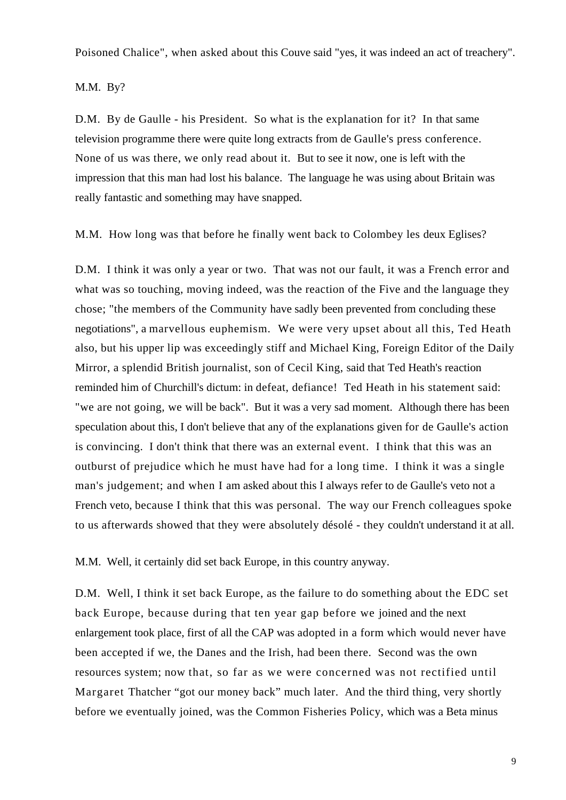Poisoned Chalice", when asked about this Couve said "yes, it was indeed an act of treachery".

M.M. By?

D.M. By de Gaulle - his President. So what is the explanation for it? In that same television programme there were quite long extracts from de Gaulle's press conference. None of us was there, we only read about it. But to see it now, one is left with the impression that this man had lost his balance. The language he was using about Britain was really fantastic and something may have snapped.

M.M. How long was that before he finally went back to Colombey les deux Eglises?

D.M. I think it was only a year or two. That was not our fault, it was a French error and what was so touching, moving indeed, was the reaction of the Five and the language they chose; "the members of the Community have sadly been prevented from concluding these negotiations", a marvellous euphemism. We were very upset about all this, Ted Heath also, but his upper lip was exceedingly stiff and Michael King, Foreign Editor of the Daily Mirror, a splendid British journalist, son of Cecil King, said that Ted Heath's reaction reminded him of Churchill's dictum: in defeat, defiance! Ted Heath in his statement said: "we are not going, we will be back". But it was a very sad moment. Although there has been speculation about this, I don't believe that any of the explanations given for de Gaulle's action is convincing. I don't think that there was an external event. I think that this was an outburst of prejudice which he must have had for a long time. I think it was a single man's judgement; and when I am asked about this I always refer to de Gaulle's veto not a French veto, because I think that this was personal. The way our French colleagues spoke to us afterwards showed that they were absolutely désolé - they couldn't understand it at all.

M.M. Well, it certainly did set back Europe, in this country anyway.

D.M. Well, I think it set back Europe, as the failure to do something about the EDC set back Europe, because during that ten year gap before we joined and the next enlargement took place, first of all the CAP was adopted in a form which would never have been accepted if we, the Danes and the Irish, had been there. Second was the own resources system; now that, so far as we were concerned was not rectified until Margaret Thatcher "got our money back" much later. And the third thing, very shortly before we eventually joined, was the Common Fisheries Policy, which was a Beta minus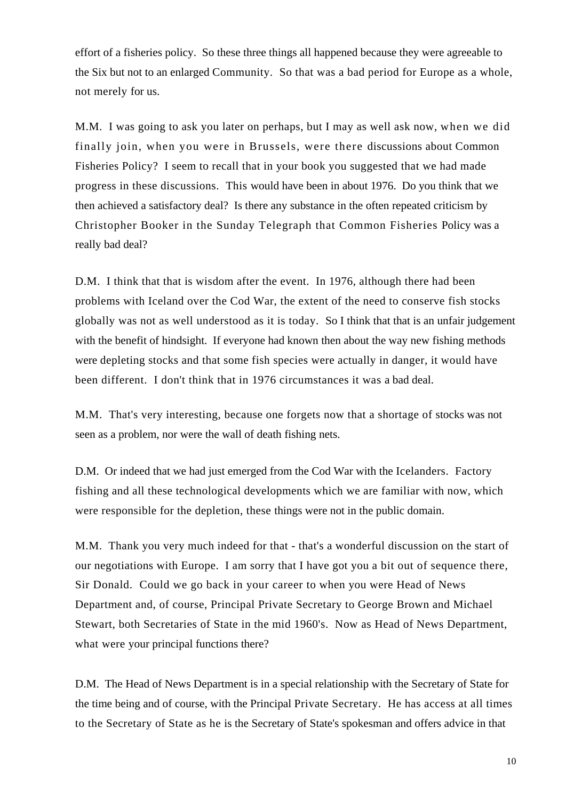effort of a fisheries policy. So these three things all happened because they were agreeable to the Six but not to an enlarged Community. So that was a bad period for Europe as a whole, not merely for us.

M.M. I was going to ask you later on perhaps, but I may as well ask now, when we did finally join, when you were in Brussels, were there discussions about Common Fisheries Policy? I seem to recall that in your book you suggested that we had made progress in these discussions. This would have been in about 1976. Do you think that we then achieved a satisfactory deal? Is there any substance in the often repeated criticism by Christopher Booker in the Sunday Telegraph that Common Fisheries Policy was a really bad deal?

D.M. I think that that is wisdom after the event. In 1976, although there had been problems with Iceland over the Cod War, the extent of the need to conserve fish stocks globally was not as well understood as it is today. So I think that that is an unfair judgement with the benefit of hindsight. If everyone had known then about the way new fishing methods were depleting stocks and that some fish species were actually in danger, it would have been different. I don't think that in 1976 circumstances it was a bad deal.

M.M. That's very interesting, because one forgets now that a shortage of stocks was not seen as a problem, nor were the wall of death fishing nets.

D.M. Or indeed that we had just emerged from the Cod War with the Icelanders. Factory fishing and all these technological developments which we are familiar with now, which were responsible for the depletion, these things were not in the public domain.

M.M. Thank you very much indeed for that - that's a wonderful discussion on the start of our negotiations with Europe. I am sorry that I have got you a bit out of sequence there, Sir Donald. Could we go back in your career to when you were Head of News Department and, of course, Principal Private Secretary to George Brown and Michael Stewart, both Secretaries of State in the mid 1960's. Now as Head of News Department, what were your principal functions there?

D.M. The Head of News Department is in a special relationship with the Secretary of State for the time being and of course, with the Principal Private Secretary. He has access at all times to the Secretary of State as he is the Secretary of State's spokesman and offers advice in that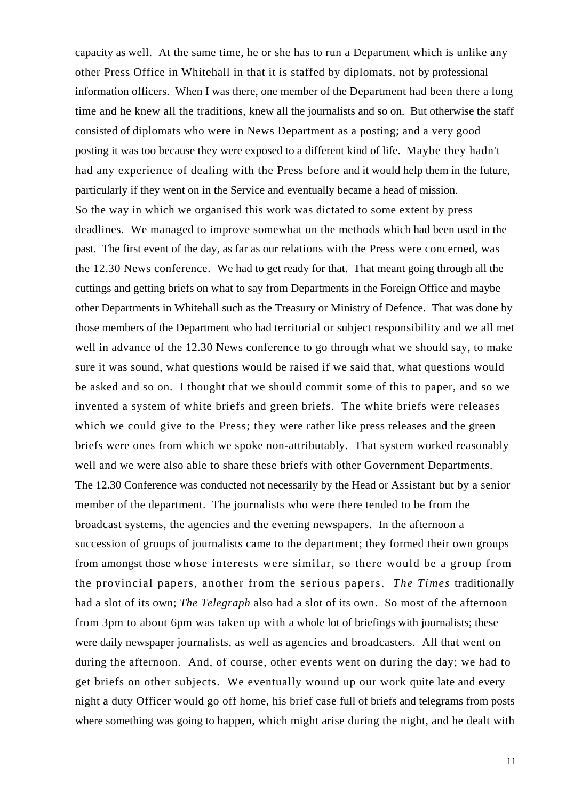capacity as well. At the same time, he or she has to run a Department which is unlike any other Press Office in Whitehall in that it is staffed by diplomats, not by professional information officers. When I was there, one member of the Department had been there a long time and he knew all the traditions, knew all the journalists and so on. But otherwise the staff consisted of diplomats who were in News Department as a posting; and a very good posting it was too because they were exposed to a different kind of life. Maybe they hadn't had any experience of dealing with the Press before and it would help them in the future, particularly if they went on in the Service and eventually became a head of mission. So the way in which we organised this work was dictated to some extent by press deadlines. We managed to improve somewhat on the methods which had been used in the past. The first event of the day, as far as our relations with the Press were concerned, was the 12.30 News conference. We had to get ready for that. That meant going through all the cuttings and getting briefs on what to say from Departments in the Foreign Office and maybe other Departments in Whitehall such as the Treasury or Ministry of Defence. That was done by those members of the Department who had territorial or subject responsibility and we all met well in advance of the 12.30 News conference to go through what we should say, to make sure it was sound, what questions would be raised if we said that, what questions would be asked and so on. I thought that we should commit some of this to paper, and so we invented a system of white briefs and green briefs. The white briefs were releases which we could give to the Press; they were rather like press releases and the green briefs were ones from which we spoke non-attributably. That system worked reasonably well and we were also able to share these briefs with other Government Departments. The 12.30 Conference was conducted not necessarily by the Head or Assistant but by a senior member of the department. The journalists who were there tended to be from the broadcast systems, the agencies and the evening newspapers. In the afternoon a succession of groups of journalists came to the department; they formed their own groups from amongst those whose interests were similar, so there would be a group from the provincial papers, another from the serious papers. *The Times* traditionally had a slot of its own; *The Telegraph* also had a slot of its own. So most of the afternoon from 3pm to about 6pm was taken up with a whole lot of briefings with journalists; these were daily newspaper journalists, as well as agencies and broadcasters. All that went on during the afternoon. And, of course, other events went on during the day; we had to get briefs on other subjects. We eventually wound up our work quite late and every night a duty Officer would go off home, his brief case full of briefs and telegrams from posts where something was going to happen, which might arise during the night, and he dealt with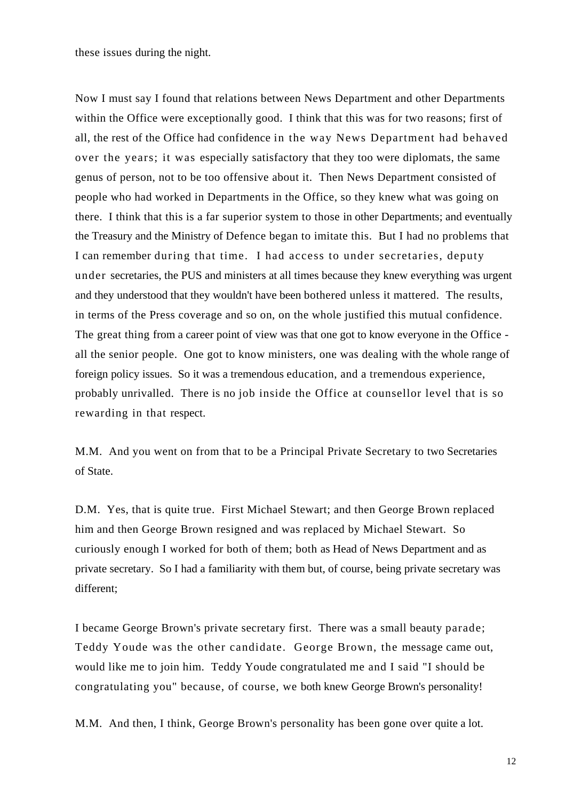these issues during the night.

Now I must say I found that relations between News Department and other Departments within the Office were exceptionally good. I think that this was for two reasons; first of all, the rest of the Office had confidence in the way News Department had behaved over the years; it was especially satisfactory that they too were diplomats, the same genus of person, not to be too offensive about it. Then News Department consisted of people who had worked in Departments in the Office, so they knew what was going on there. I think that this is a far superior system to those in other Departments; and eventually the Treasury and the Ministry of Defence began to imitate this. But I had no problems that I can remember during that time. I had access to under secretaries, deputy under secretaries, the PUS and ministers at all times because they knew everything was urgent and they understood that they wouldn't have been bothered unless it mattered. The results, in terms of the Press coverage and so on, on the whole justified this mutual confidence. The great thing from a career point of view was that one got to know everyone in the Office all the senior people. One got to know ministers, one was dealing with the whole range of foreign policy issues. So it was a tremendous education, and a tremendous experience, probably unrivalled. There is no job inside the Office at counsellor level that is so rewarding in that respect.

M.M. And you went on from that to be a Principal Private Secretary to two Secretaries of State.

D.M. Yes, that is quite true. First Michael Stewart; and then George Brown replaced him and then George Brown resigned and was replaced by Michael Stewart. So curiously enough I worked for both of them; both as Head of News Department and as private secretary. So I had a familiarity with them but, of course, being private secretary was different;

I became George Brown's private secretary first. There was a small beauty parade; Teddy Youde was the other candidate. George Brown, the message came out, would like me to join him. Teddy Youde congratulated me and I said "I should be congratulating you" because, of course, we both knew George Brown's personality!

M.M. And then, I think, George Brown's personality has been gone over quite a lot.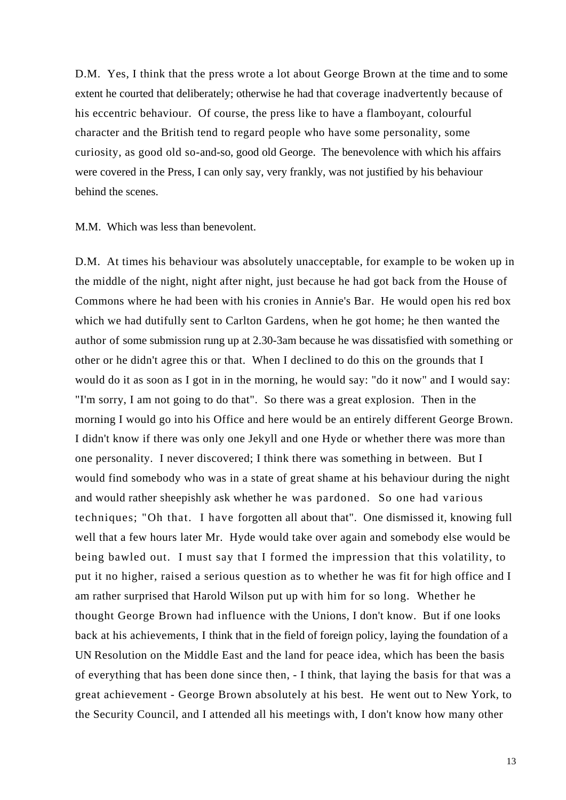D.M. Yes, I think that the press wrote a lot about George Brown at the time and to some extent he courted that deliberately; otherwise he had that coverage inadvertently because of his eccentric behaviour. Of course, the press like to have a flamboyant, colourful character and the British tend to regard people who have some personality, some curiosity, as good old so-and-so, good old George. The benevolence with which his affairs were covered in the Press, I can only say, very frankly, was not justified by his behaviour behind the scenes.

M.M. Which was less than benevolent.

D.M. At times his behaviour was absolutely unacceptable, for example to be woken up in the middle of the night, night after night, just because he had got back from the House of Commons where he had been with his cronies in Annie's Bar. He would open his red box which we had dutifully sent to Carlton Gardens, when he got home; he then wanted the author of some submission rung up at 2.30-3am because he was dissatisfied with something or other or he didn't agree this or that. When I declined to do this on the grounds that I would do it as soon as I got in in the morning, he would say: "do it now" and I would say: "I'm sorry, I am not going to do that". So there was a great explosion. Then in the morning I would go into his Office and here would be an entirely different George Brown. I didn't know if there was only one Jekyll and one Hyde or whether there was more than one personality. I never discovered; I think there was something in between. But I would find somebody who was in a state of great shame at his behaviour during the night and would rather sheepishly ask whether he was pardoned. So one had various techniques; "Oh that. I have forgotten all about that". One dismissed it, knowing full well that a few hours later Mr. Hyde would take over again and somebody else would be being bawled out. I must say that I formed the impression that this volatility, to put it no higher, raised a serious question as to whether he was fit for high office and I am rather surprised that Harold Wilson put up with him for so long. Whether he thought George Brown had influence with the Unions, I don't know. But if one looks back at his achievements, I think that in the field of foreign policy, laying the foundation of a UN Resolution on the Middle East and the land for peace idea, which has been the basis of everything that has been done since then, - I think, that laying the basis for that was a great achievement - George Brown absolutely at his best. He went out to New York, to the Security Council, and I attended all his meetings with, I don't know how many other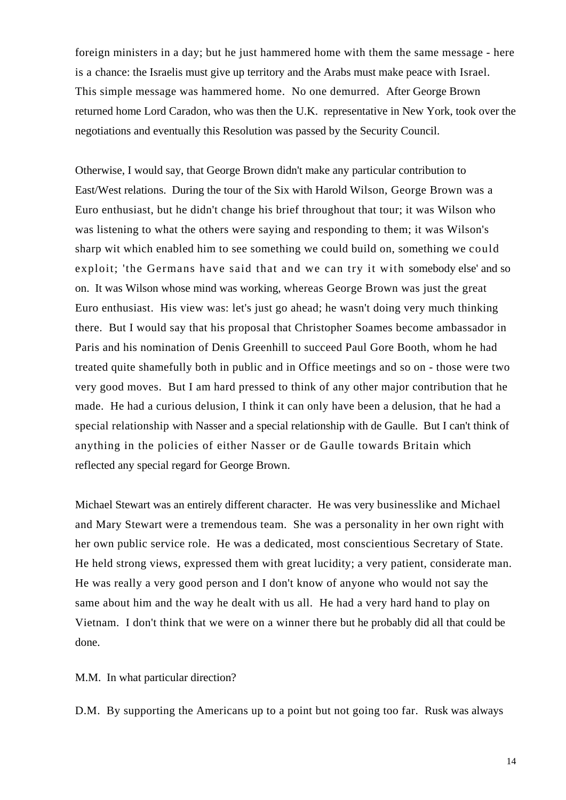foreign ministers in a day; but he just hammered home with them the same message - here is a chance: the Israelis must give up territory and the Arabs must make peace with Israel. This simple message was hammered home. No one demurred. After George Brown returned home Lord Caradon, who was then the U.K. representative in New York, took over the negotiations and eventually this Resolution was passed by the Security Council.

Otherwise, I would say, that George Brown didn't make any particular contribution to East/West relations. During the tour of the Six with Harold Wilson, George Brown was a Euro enthusiast, but he didn't change his brief throughout that tour; it was Wilson who was listening to what the others were saying and responding to them; it was Wilson's sharp wit which enabled him to see something we could build on, something we could exploit; 'the Germans have said that and we can try it with somebody else' and so on. It was Wilson whose mind was working, whereas George Brown was just the great Euro enthusiast. His view was: let's just go ahead; he wasn't doing very much thinking there. But I would say that his proposal that Christopher Soames become ambassador in Paris and his nomination of Denis Greenhill to succeed Paul Gore Booth, whom he had treated quite shamefully both in public and in Office meetings and so on - those were two very good moves. But I am hard pressed to think of any other major contribution that he made. He had a curious delusion, I think it can only have been a delusion, that he had a special relationship with Nasser and a special relationship with de Gaulle. But I can't think of anything in the policies of either Nasser or de Gaulle towards Britain which reflected any special regard for George Brown.

Michael Stewart was an entirely different character. He was very businesslike and Michael and Mary Stewart were a tremendous team. She was a personality in her own right with her own public service role. He was a dedicated, most conscientious Secretary of State. He held strong views, expressed them with great lucidity; a very patient, considerate man. He was really a very good person and I don't know of anyone who would not say the same about him and the way he dealt with us all. He had a very hard hand to play on Vietnam. I don't think that we were on a winner there but he probably did all that could be done.

M.M. In what particular direction?

D.M. By supporting the Americans up to a point but not going too far. Rusk was always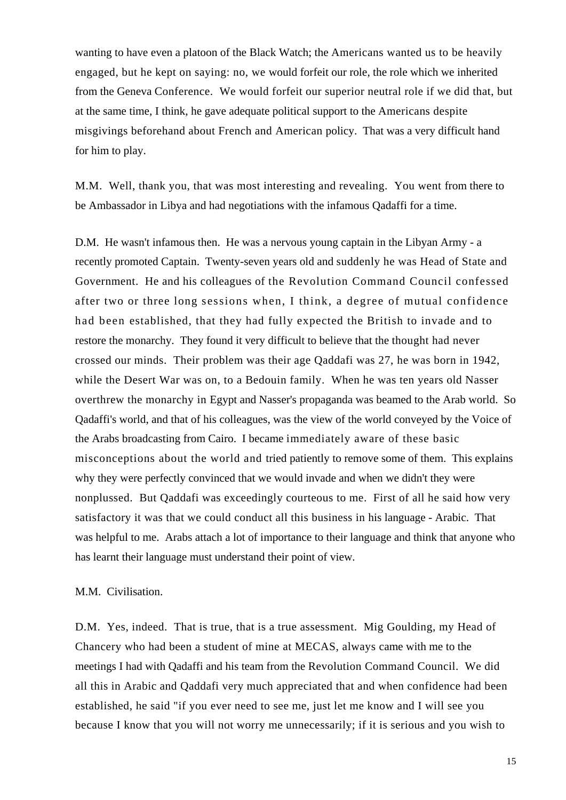wanting to have even a platoon of the Black Watch; the Americans wanted us to be heavily engaged, but he kept on saying: no, we would forfeit our role, the role which we inherited from the Geneva Conference. We would forfeit our superior neutral role if we did that, but at the same time, I think, he gave adequate political support to the Americans despite misgivings beforehand about French and American policy. That was a very difficult hand for him to play.

M.M. Well, thank you, that was most interesting and revealing. You went from there to be Ambassador in Libya and had negotiations with the infamous Qadaffi for a time.

D.M. He wasn't infamous then. He was a nervous young captain in the Libyan Army - a recently promoted Captain. Twenty-seven years old and suddenly he was Head of State and Government. He and his colleagues of the Revolution Command Council confessed after two or three long sessions when, I think, a degree of mutual confidence had been established, that they had fully expected the British to invade and to restore the monarchy. They found it very difficult to believe that the thought had never crossed our minds. Their problem was their age Qaddafi was 27, he was born in 1942, while the Desert War was on, to a Bedouin family. When he was ten years old Nasser overthrew the monarchy in Egypt and Nasser's propaganda was beamed to the Arab world. So Qadaffi's world, and that of his colleagues, was the view of the world conveyed by the Voice of the Arabs broadcasting from Cairo. I became immediately aware of these basic misconceptions about the world and tried patiently to remove some of them. This explains why they were perfectly convinced that we would invade and when we didn't they were nonplussed. But Qaddafi was exceedingly courteous to me. First of all he said how very satisfactory it was that we could conduct all this business in his language - Arabic. That was helpful to me. Arabs attach a lot of importance to their language and think that anyone who has learnt their language must understand their point of view.

#### M.M. Civilisation.

D.M. Yes, indeed. That is true, that is a true assessment. Mig Goulding, my Head of Chancery who had been a student of mine at MECAS, always came with me to the meetings I had with Qadaffi and his team from the Revolution Command Council. We did all this in Arabic and Qaddafi very much appreciated that and when confidence had been established, he said "if you ever need to see me, just let me know and I will see you because I know that you will not worry me unnecessarily; if it is serious and you wish to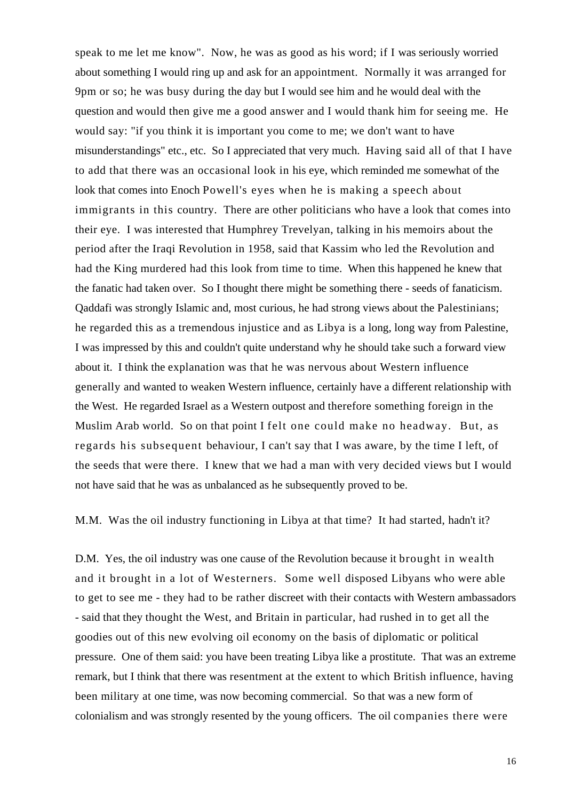speak to me let me know". Now, he was as good as his word; if I was seriously worried about something I would ring up and ask for an appointment. Normally it was arranged for 9pm or so; he was busy during the day but I would see him and he would deal with the question and would then give me a good answer and I would thank him for seeing me. He would say: "if you think it is important you come to me; we don't want to have misunderstandings" etc., etc. So I appreciated that very much. Having said all of that I have to add that there was an occasional look in his eye, which reminded me somewhat of the look that comes into Enoch Powell's eyes when he is making a speech about immigrants in this country. There are other politicians who have a look that comes into their eye. I was interested that Humphrey Trevelyan, talking in his memoirs about the period after the Iraqi Revolution in 1958, said that Kassim who led the Revolution and had the King murdered had this look from time to time. When this happened he knew that the fanatic had taken over. So I thought there might be something there - seeds of fanaticism. Qaddafi was strongly Islamic and, most curious, he had strong views about the Palestinians; he regarded this as a tremendous injustice and as Libya is a long, long way from Palestine, I was impressed by this and couldn't quite understand why he should take such a forward view about it. I think the explanation was that he was nervous about Western influence generally and wanted to weaken Western influence, certainly have a different relationship with the West. He regarded Israel as a Western outpost and therefore something foreign in the Muslim Arab world. So on that point I felt one could make no headway. But, as regards his subsequent behaviour, I can't say that I was aware, by the time I left, of the seeds that were there. I knew that we had a man with very decided views but I would not have said that he was as unbalanced as he subsequently proved to be.

M.M. Was the oil industry functioning in Libya at that time? It had started, hadn't it?

D.M. Yes, the oil industry was one cause of the Revolution because it brought in wealth and it brought in a lot of Westerners. Some well disposed Libyans who were able to get to see me - they had to be rather discreet with their contacts with Western ambassadors - said that they thought the West, and Britain in particular, had rushed in to get all the goodies out of this new evolving oil economy on the basis of diplomatic or political pressure. One of them said: you have been treating Libya like a prostitute. That was an extreme remark, but I think that there was resentment at the extent to which British influence, having been military at one time, was now becoming commercial. So that was a new form of colonialism and was strongly resented by the young officers. The oil companies there were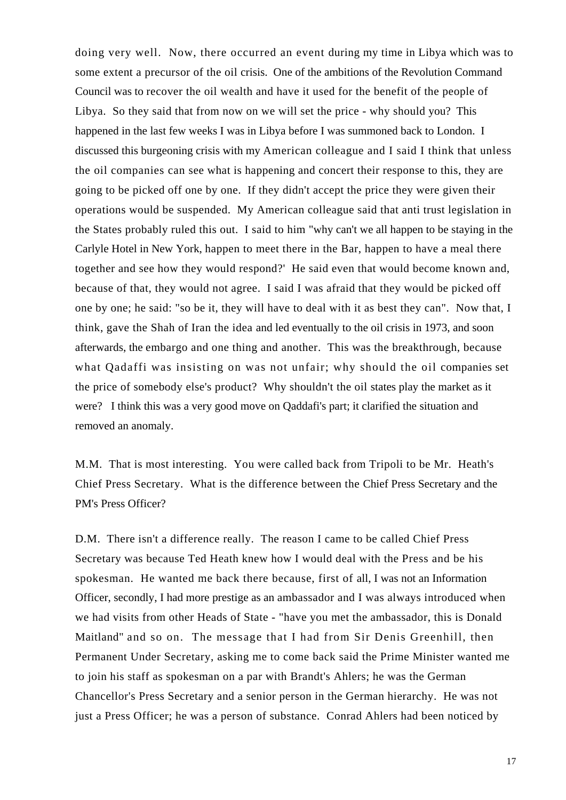doing very well. Now, there occurred an event during my time in Libya which was to some extent a precursor of the oil crisis. One of the ambitions of the Revolution Command Council was to recover the oil wealth and have it used for the benefit of the people of Libya. So they said that from now on we will set the price - why should you? This happened in the last few weeks I was in Libya before I was summoned back to London. I discussed this burgeoning crisis with my American colleague and I said I think that unless the oil companies can see what is happening and concert their response to this, they are going to be picked off one by one. If they didn't accept the price they were given their operations would be suspended. My American colleague said that anti trust legislation in the States probably ruled this out. I said to him "why can't we all happen to be staying in the Carlyle Hotel in New York, happen to meet there in the Bar, happen to have a meal there together and see how they would respond?' He said even that would become known and, because of that, they would not agree. I said I was afraid that they would be picked off one by one; he said: "so be it, they will have to deal with it as best they can". Now that, I think, gave the Shah of Iran the idea and led eventually to the oil crisis in 1973, and soon afterwards, the embargo and one thing and another. This was the breakthrough, because what Qadaffi was insisting on was not unfair; why should the oil companies set the price of somebody else's product? Why shouldn't the oil states play the market as it were? I think this was a very good move on Qaddafi's part; it clarified the situation and removed an anomaly.

M.M. That is most interesting. You were called back from Tripoli to be Mr. Heath's Chief Press Secretary. What is the difference between the Chief Press Secretary and the PM's Press Officer?

D.M. There isn't a difference really. The reason I came to be called Chief Press Secretary was because Ted Heath knew how I would deal with the Press and be his spokesman. He wanted me back there because, first of all, I was not an Information Officer, secondly, I had more prestige as an ambassador and I was always introduced when we had visits from other Heads of State - "have you met the ambassador, this is Donald Maitland" and so on. The message that I had from Sir Denis Greenhill, then Permanent Under Secretary, asking me to come back said the Prime Minister wanted me to join his staff as spokesman on a par with Brandt's Ahlers; he was the German Chancellor's Press Secretary and a senior person in the German hierarchy. He was not just a Press Officer; he was a person of substance. Conrad Ahlers had been noticed by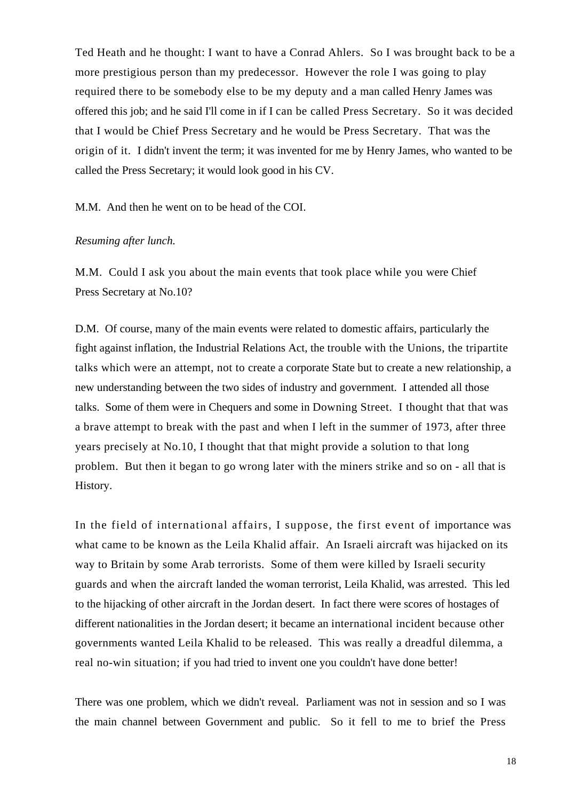Ted Heath and he thought: I want to have a Conrad Ahlers. So I was brought back to be a more prestigious person than my predecessor. However the role I was going to play required there to be somebody else to be my deputy and a man called Henry James was offered this job; and he said I'll come in if I can be called Press Secretary. So it was decided that I would be Chief Press Secretary and he would be Press Secretary. That was the origin of it. I didn't invent the term; it was invented for me by Henry James, who wanted to be called the Press Secretary; it would look good in his CV.

M.M. And then he went on to be head of the COI.

#### *Resuming after lunch.*

M.M. Could I ask you about the main events that took place while you were Chief Press Secretary at No.10?

D.M. Of course, many of the main events were related to domestic affairs, particularly the fight against inflation, the Industrial Relations Act, the trouble with the Unions, the tripartite talks which were an attempt, not to create a corporate State but to create a new relationship, a new understanding between the two sides of industry and government. I attended all those talks. Some of them were in Chequers and some in Downing Street. I thought that that was a brave attempt to break with the past and when I left in the summer of 1973, after three years precisely at No.10, I thought that that might provide a solution to that long problem. But then it began to go wrong later with the miners strike and so on - all that is History.

In the field of international affairs, I suppose, the first event of importance was what came to be known as the Leila Khalid affair. An Israeli aircraft was hijacked on its way to Britain by some Arab terrorists. Some of them were killed by Israeli security guards and when the aircraft landed the woman terrorist, Leila Khalid, was arrested. This led to the hijacking of other aircraft in the Jordan desert. In fact there were scores of hostages of different nationalities in the Jordan desert; it became an international incident because other governments wanted Leila Khalid to be released. This was really a dreadful dilemma, a real no-win situation; if you had tried to invent one you couldn't have done better!

There was one problem, which we didn't reveal. Parliament was not in session and so I was the main channel between Government and public. So it fell to me to brief the Press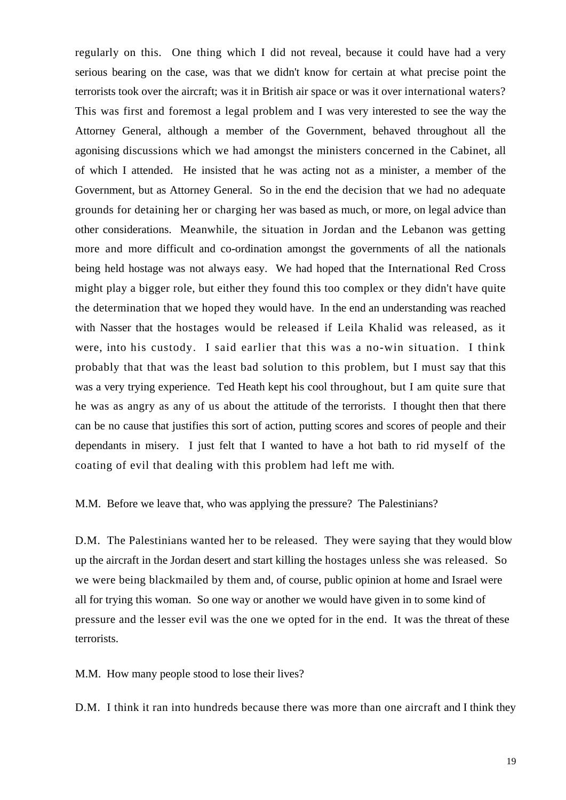regularly on this. One thing which I did not reveal, because it could have had a very serious bearing on the case, was that we didn't know for certain at what precise point the terrorists took over the aircraft; was it in British air space or was it over international waters? This was first and foremost a legal problem and I was very interested to see the way the Attorney General, although a member of the Government, behaved throughout all the agonising discussions which we had amongst the ministers concerned in the Cabinet, all of which I attended. He insisted that he was acting not as a minister, a member of the Government, but as Attorney General. So in the end the decision that we had no adequate grounds for detaining her or charging her was based as much, or more, on legal advice than other considerations. Meanwhile, the situation in Jordan and the Lebanon was getting more and more difficult and co-ordination amongst the governments of all the nationals being held hostage was not always easy. We had hoped that the International Red Cross might play a bigger role, but either they found this too complex or they didn't have quite the determination that we hoped they would have. In the end an understanding was reached with Nasser that the hostages would be released if Leila Khalid was released, as it were, into his custody. I said earlier that this was a no-win situation. I think probably that that was the least bad solution to this problem, but I must say that this was a very trying experience. Ted Heath kept his cool throughout, but I am quite sure that he was as angry as any of us about the attitude of the terrorists. I thought then that there can be no cause that justifies this sort of action, putting scores and scores of people and their dependants in misery. I just felt that I wanted to have a hot bath to rid myself of the coating of evil that dealing with this problem had left me with.

M.M. Before we leave that, who was applying the pressure? The Palestinians?

D.M. The Palestinians wanted her to be released. They were saying that they would blow up the aircraft in the Jordan desert and start killing the hostages unless she was released. So we were being blackmailed by them and, of course, public opinion at home and Israel were all for trying this woman. So one way or another we would have given in to some kind of pressure and the lesser evil was the one we opted for in the end. It was the threat of these terrorists.

M.M. How many people stood to lose their lives?

D.M. I think it ran into hundreds because there was more than one aircraft and I think they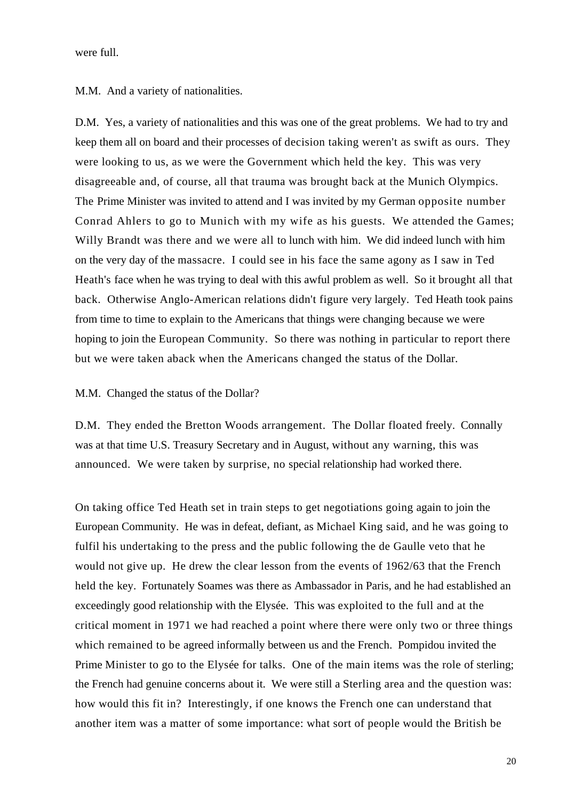were full.

M.M. And a variety of nationalities.

D.M. Yes, a variety of nationalities and this was one of the great problems. We had to try and keep them all on board and their processes of decision taking weren't as swift as ours. They were looking to us, as we were the Government which held the key. This was very disagreeable and, of course, all that trauma was brought back at the Munich Olympics. The Prime Minister was invited to attend and I was invited by my German opposite number Conrad Ahlers to go to Munich with my wife as his guests. We attended the Games; Willy Brandt was there and we were all to lunch with him. We did indeed lunch with him on the very day of the massacre. I could see in his face the same agony as I saw in Ted Heath's face when he was trying to deal with this awful problem as well. So it brought all that back. Otherwise Anglo-American relations didn't figure very largely. Ted Heath took pains from time to time to explain to the Americans that things were changing because we were hoping to join the European Community. So there was nothing in particular to report there but we were taken aback when the Americans changed the status of the Dollar.

#### M.M. Changed the status of the Dollar?

D.M. They ended the Bretton Woods arrangement. The Dollar floated freely. Connally was at that time U.S. Treasury Secretary and in August, without any warning, this was announced. We were taken by surprise, no special relationship had worked there.

On taking office Ted Heath set in train steps to get negotiations going again to join the European Community. He was in defeat, defiant, as Michael King said, and he was going to fulfil his undertaking to the press and the public following the de Gaulle veto that he would not give up. He drew the clear lesson from the events of 1962/63 that the French held the key. Fortunately Soames was there as Ambassador in Paris, and he had established an exceedingly good relationship with the Elysée. This was exploited to the full and at the critical moment in 1971 we had reached a point where there were only two or three things which remained to be agreed informally between us and the French. Pompidou invited the Prime Minister to go to the Elysée for talks. One of the main items was the role of sterling; the French had genuine concerns about it. We were still a Sterling area and the question was: how would this fit in? Interestingly, if one knows the French one can understand that another item was a matter of some importance: what sort of people would the British be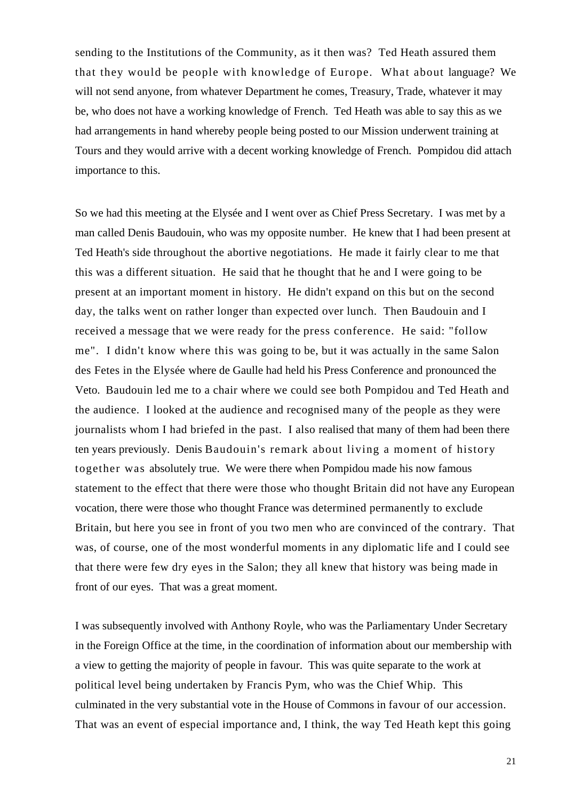sending to the Institutions of the Community, as it then was? Ted Heath assured them that they would be people with knowledge of Europe. What about language? We will not send anyone, from whatever Department he comes, Treasury, Trade, whatever it may be, who does not have a working knowledge of French. Ted Heath was able to say this as we had arrangements in hand whereby people being posted to our Mission underwent training at Tours and they would arrive with a decent working knowledge of French. Pompidou did attach importance to this.

So we had this meeting at the Elysée and I went over as Chief Press Secretary. I was met by a man called Denis Baudouin, who was my opposite number. He knew that I had been present at Ted Heath's side throughout the abortive negotiations. He made it fairly clear to me that this was a different situation. He said that he thought that he and I were going to be present at an important moment in history. He didn't expand on this but on the second day, the talks went on rather longer than expected over lunch. Then Baudouin and I received a message that we were ready for the press conference. He said: "follow me". I didn't know where this was going to be, but it was actually in the same Salon des Fetes in the Elysée where de Gaulle had held his Press Conference and pronounced the Veto. Baudouin led me to a chair where we could see both Pompidou and Ted Heath and the audience. I looked at the audience and recognised many of the people as they were journalists whom I had briefed in the past. I also realised that many of them had been there ten years previously. Denis Baudouin's remark about living a moment of history together was absolutely true. We were there when Pompidou made his now famous statement to the effect that there were those who thought Britain did not have any European vocation, there were those who thought France was determined permanently to exclude Britain, but here you see in front of you two men who are convinced of the contrary. That was, of course, one of the most wonderful moments in any diplomatic life and I could see that there were few dry eyes in the Salon; they all knew that history was being made in front of our eyes. That was a great moment.

I was subsequently involved with Anthony Royle, who was the Parliamentary Under Secretary in the Foreign Office at the time, in the coordination of information about our membership with a view to getting the majority of people in favour. This was quite separate to the work at political level being undertaken by Francis Pym, who was the Chief Whip. This culminated in the very substantial vote in the House of Commons in favour of our accession. That was an event of especial importance and, I think, the way Ted Heath kept this going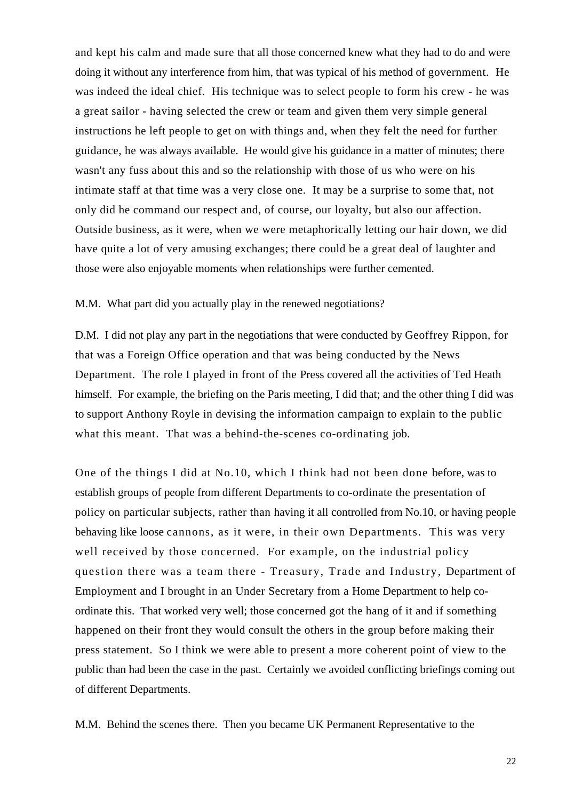and kept his calm and made sure that all those concerned knew what they had to do and were doing it without any interference from him, that was typical of his method of government. He was indeed the ideal chief. His technique was to select people to form his crew - he was a great sailor - having selected the crew or team and given them very simple general instructions he left people to get on with things and, when they felt the need for further guidance, he was always available. He would give his guidance in a matter of minutes; there wasn't any fuss about this and so the relationship with those of us who were on his intimate staff at that time was a very close one. It may be a surprise to some that, not only did he command our respect and, of course, our loyalty, but also our affection. Outside business, as it were, when we were metaphorically letting our hair down, we did have quite a lot of very amusing exchanges; there could be a great deal of laughter and those were also enjoyable moments when relationships were further cemented.

M.M. What part did you actually play in the renewed negotiations?

D.M. I did not play any part in the negotiations that were conducted by Geoffrey Rippon, for that was a Foreign Office operation and that was being conducted by the News Department. The role I played in front of the Press covered all the activities of Ted Heath himself. For example, the briefing on the Paris meeting, I did that; and the other thing I did was to support Anthony Royle in devising the information campaign to explain to the public what this meant. That was a behind-the-scenes co-ordinating job.

One of the things I did at No.10, which I think had not been done before, was to establish groups of people from different Departments to co-ordinate the presentation of policy on particular subjects, rather than having it all controlled from No.10, or having people behaving like loose cannons, as it were, in their own Departments. This was very well received by those concerned. For example, on the industrial policy question there was a team there - Treasury, Trade and Industry, Department of Employment and I brought in an Under Secretary from a Home Department to help coordinate this. That worked very well; those concerned got the hang of it and if something happened on their front they would consult the others in the group before making their press statement. So I think we were able to present a more coherent point of view to the public than had been the case in the past. Certainly we avoided conflicting briefings coming out of different Departments.

M.M. Behind the scenes there. Then you became UK Permanent Representative to the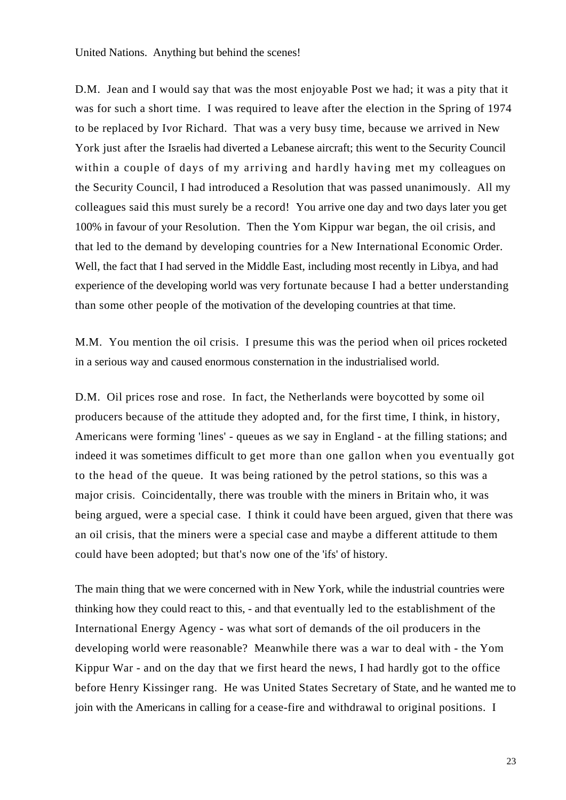D.M. Jean and I would say that was the most enjoyable Post we had; it was a pity that it was for such a short time. I was required to leave after the election in the Spring of 1974 to be replaced by Ivor Richard. That was a very busy time, because we arrived in New York just after the Israelis had diverted a Lebanese aircraft; this went to the Security Council within a couple of days of my arriving and hardly having met my colleagues on the Security Council, I had introduced a Resolution that was passed unanimously. All my colleagues said this must surely be a record! You arrive one day and two days later you get 100% in favour of your Resolution. Then the Yom Kippur war began, the oil crisis, and that led to the demand by developing countries for a New International Economic Order. Well, the fact that I had served in the Middle East, including most recently in Libya, and had experience of the developing world was very fortunate because I had a better understanding than some other people of the motivation of the developing countries at that time.

M.M. You mention the oil crisis. I presume this was the period when oil prices rocketed in a serious way and caused enormous consternation in the industrialised world.

D.M. Oil prices rose and rose. In fact, the Netherlands were boycotted by some oil producers because of the attitude they adopted and, for the first time, I think, in history, Americans were forming 'lines' - queues as we say in England - at the filling stations; and indeed it was sometimes difficult to get more than one gallon when you eventually got to the head of the queue. It was being rationed by the petrol stations, so this was a major crisis. Coincidentally, there was trouble with the miners in Britain who, it was being argued, were a special case. I think it could have been argued, given that there was an oil crisis, that the miners were a special case and maybe a different attitude to them could have been adopted; but that's now one of the 'ifs' of history.

The main thing that we were concerned with in New York, while the industrial countries were thinking how they could react to this, - and that eventually led to the establishment of the International Energy Agency - was what sort of demands of the oil producers in the developing world were reasonable? Meanwhile there was a war to deal with - the Yom Kippur War - and on the day that we first heard the news, I had hardly got to the office before Henry Kissinger rang. He was United States Secretary of State, and he wanted me to join with the Americans in calling for a cease-fire and withdrawal to original positions. I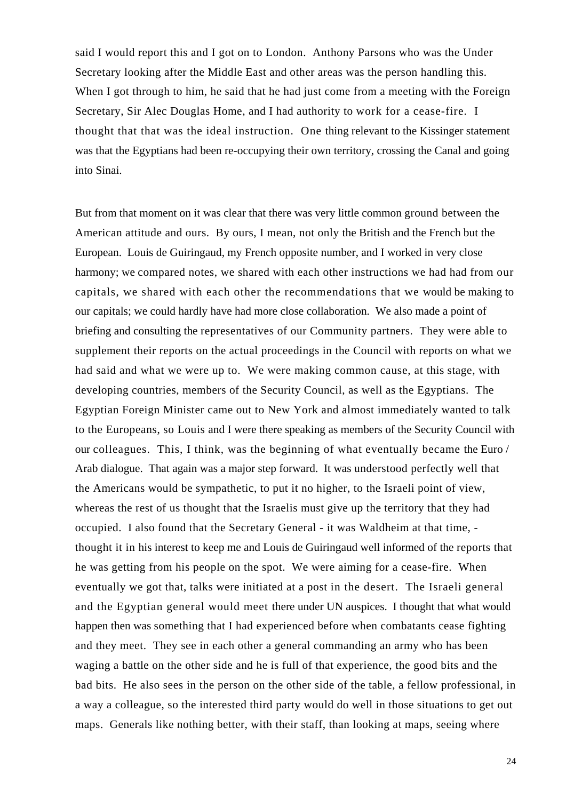said I would report this and I got on to London. Anthony Parsons who was the Under Secretary looking after the Middle East and other areas was the person handling this. When I got through to him, he said that he had just come from a meeting with the Foreign Secretary, Sir Alec Douglas Home, and I had authority to work for a cease-fire. I thought that that was the ideal instruction. One thing relevant to the Kissinger statement was that the Egyptians had been re-occupying their own territory, crossing the Canal and going into Sinai.

But from that moment on it was clear that there was very little common ground between the American attitude and ours. By ours, I mean, not only the British and the French but the European. Louis de Guiringaud, my French opposite number, and I worked in very close harmony; we compared notes, we shared with each other instructions we had had from our capitals, we shared with each other the recommendations that we would be making to our capitals; we could hardly have had more close collaboration. We also made a point of briefing and consulting the representatives of our Community partners. They were able to supplement their reports on the actual proceedings in the Council with reports on what we had said and what we were up to. We were making common cause, at this stage, with developing countries, members of the Security Council, as well as the Egyptians. The Egyptian Foreign Minister came out to New York and almost immediately wanted to talk to the Europeans, so Louis and I were there speaking as members of the Security Council with our colleagues. This, I think, was the beginning of what eventually became the Euro / Arab dialogue. That again was a major step forward. It was understood perfectly well that the Americans would be sympathetic, to put it no higher, to the Israeli point of view, whereas the rest of us thought that the Israelis must give up the territory that they had occupied. I also found that the Secretary General - it was Waldheim at that time, thought it in his interest to keep me and Louis de Guiringaud well informed of the reports that he was getting from his people on the spot. We were aiming for a cease-fire. When eventually we got that, talks were initiated at a post in the desert. The Israeli general and the Egyptian general would meet there under UN auspices. I thought that what would happen then was something that I had experienced before when combatants cease fighting and they meet. They see in each other a general commanding an army who has been waging a battle on the other side and he is full of that experience, the good bits and the bad bits. He also sees in the person on the other side of the table, a fellow professional, in a way a colleague, so the interested third party would do well in those situations to get out maps. Generals like nothing better, with their staff, than looking at maps, seeing where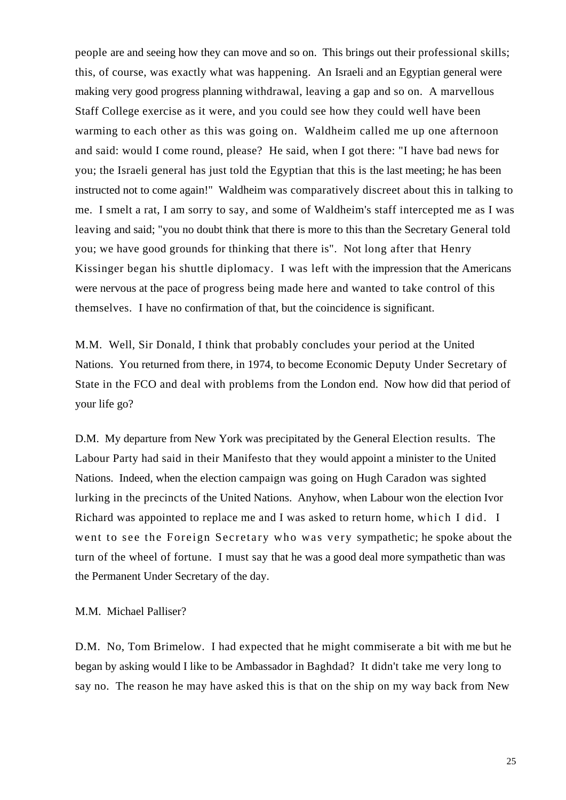people are and seeing how they can move and so on. This brings out their professional skills; this, of course, was exactly what was happening. An Israeli and an Egyptian general were making very good progress planning withdrawal, leaving a gap and so on. A marvellous Staff College exercise as it were, and you could see how they could well have been warming to each other as this was going on. Waldheim called me up one afternoon and said: would I come round, please? He said, when I got there: "I have bad news for you; the Israeli general has just told the Egyptian that this is the last meeting; he has been instructed not to come again!" Waldheim was comparatively discreet about this in talking to me. I smelt a rat, I am sorry to say, and some of Waldheim's staff intercepted me as I was leaving and said; "you no doubt think that there is more to this than the Secretary General told you; we have good grounds for thinking that there is". Not long after that Henry Kissinger began his shuttle diplomacy. I was left with the impression that the Americans were nervous at the pace of progress being made here and wanted to take control of this themselves. I have no confirmation of that, but the coincidence is significant.

M.M. Well, Sir Donald, I think that probably concludes your period at the United Nations. You returned from there, in 1974, to become Economic Deputy Under Secretary of State in the FCO and deal with problems from the London end. Now how did that period of your life go?

D.M. My departure from New York was precipitated by the General Election results. The Labour Party had said in their Manifesto that they would appoint a minister to the United Nations. Indeed, when the election campaign was going on Hugh Caradon was sighted lurking in the precincts of the United Nations. Anyhow, when Labour won the election Ivor Richard was appointed to replace me and I was asked to return home, which I did. I went to see the Foreign Secretary who was very sympathetic; he spoke about the turn of the wheel of fortune. I must say that he was a good deal more sympathetic than was the Permanent Under Secretary of the day.

### M.M. Michael Palliser?

D.M. No, Tom Brimelow. I had expected that he might commiserate a bit with me but he began by asking would I like to be Ambassador in Baghdad? It didn't take me very long to say no. The reason he may have asked this is that on the ship on my way back from New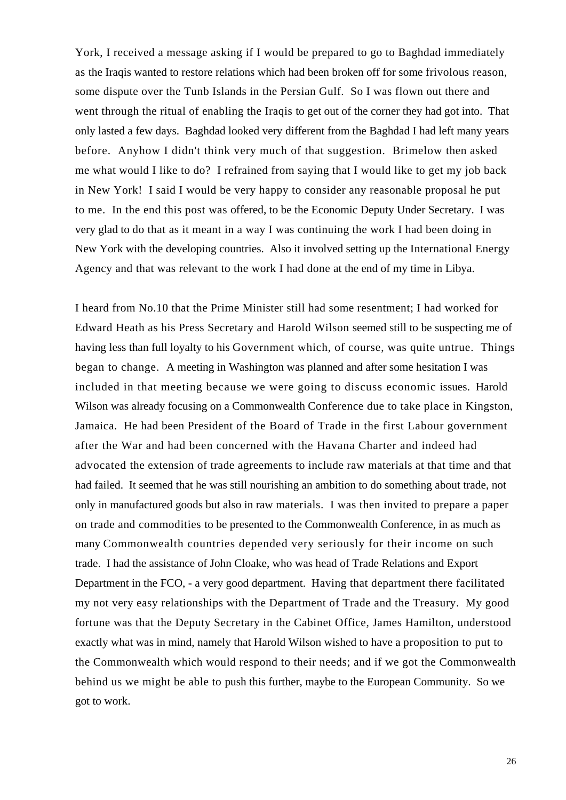York, I received a message asking if I would be prepared to go to Baghdad immediately as the Iraqis wanted to restore relations which had been broken off for some frivolous reason, some dispute over the Tunb Islands in the Persian Gulf. So I was flown out there and went through the ritual of enabling the Iraqis to get out of the corner they had got into. That only lasted a few days. Baghdad looked very different from the Baghdad I had left many years before. Anyhow I didn't think very much of that suggestion. Brimelow then asked me what would I like to do? I refrained from saying that I would like to get my job back in New York! I said I would be very happy to consider any reasonable proposal he put to me. In the end this post was offered, to be the Economic Deputy Under Secretary. I was very glad to do that as it meant in a way I was continuing the work I had been doing in New York with the developing countries. Also it involved setting up the International Energy Agency and that was relevant to the work I had done at the end of my time in Libya.

I heard from No.10 that the Prime Minister still had some resentment; I had worked for Edward Heath as his Press Secretary and Harold Wilson seemed still to be suspecting me of having less than full loyalty to his Government which, of course, was quite untrue. Things began to change. A meeting in Washington was planned and after some hesitation I was included in that meeting because we were going to discuss economic issues. Harold Wilson was already focusing on a Commonwealth Conference due to take place in Kingston, Jamaica. He had been President of the Board of Trade in the first Labour government after the War and had been concerned with the Havana Charter and indeed had advocated the extension of trade agreements to include raw materials at that time and that had failed. It seemed that he was still nourishing an ambition to do something about trade, not only in manufactured goods but also in raw materials. I was then invited to prepare a paper on trade and commodities to be presented to the Commonwealth Conference, in as much as many Commonwealth countries depended very seriously for their income on such trade. I had the assistance of John Cloake, who was head of Trade Relations and Export Department in the FCO, - a very good department. Having that department there facilitated my not very easy relationships with the Department of Trade and the Treasury. My good fortune was that the Deputy Secretary in the Cabinet Office, James Hamilton, understood exactly what was in mind, namely that Harold Wilson wished to have a proposition to put to the Commonwealth which would respond to their needs; and if we got the Commonwealth behind us we might be able to push this further, maybe to the European Community. So we got to work.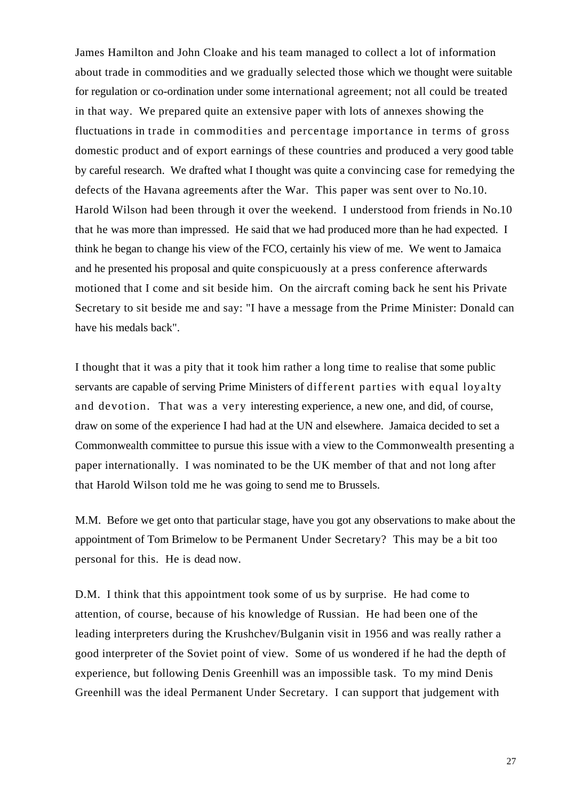James Hamilton and John Cloake and his team managed to collect a lot of information about trade in commodities and we gradually selected those which we thought were suitable for regulation or co-ordination under some international agreement; not all could be treated in that way. We prepared quite an extensive paper with lots of annexes showing the fluctuations in trade in commodities and percentage importance in terms of gross domestic product and of export earnings of these countries and produced a very good table by careful research. We drafted what I thought was quite a convincing case for remedying the defects of the Havana agreements after the War. This paper was sent over to No.10. Harold Wilson had been through it over the weekend. I understood from friends in No.10 that he was more than impressed. He said that we had produced more than he had expected. I think he began to change his view of the FCO, certainly his view of me. We went to Jamaica and he presented his proposal and quite conspicuously at a press conference afterwards motioned that I come and sit beside him. On the aircraft coming back he sent his Private Secretary to sit beside me and say: "I have a message from the Prime Minister: Donald can have his medals back".

I thought that it was a pity that it took him rather a long time to realise that some public servants are capable of serving Prime Ministers of different parties with equal loyalty and devotion. That was a very interesting experience, a new one, and did, of course, draw on some of the experience I had had at the UN and elsewhere. Jamaica decided to set a Commonwealth committee to pursue this issue with a view to the Commonwealth presenting a paper internationally. I was nominated to be the UK member of that and not long after that Harold Wilson told me he was going to send me to Brussels.

M.M. Before we get onto that particular stage, have you got any observations to make about the appointment of Tom Brimelow to be Permanent Under Secretary? This may be a bit too personal for this. He is dead now.

D.M. I think that this appointment took some of us by surprise. He had come to attention, of course, because of his knowledge of Russian. He had been one of the leading interpreters during the Krushchev/Bulganin visit in 1956 and was really rather a good interpreter of the Soviet point of view. Some of us wondered if he had the depth of experience, but following Denis Greenhill was an impossible task. To my mind Denis Greenhill was the ideal Permanent Under Secretary. I can support that judgement with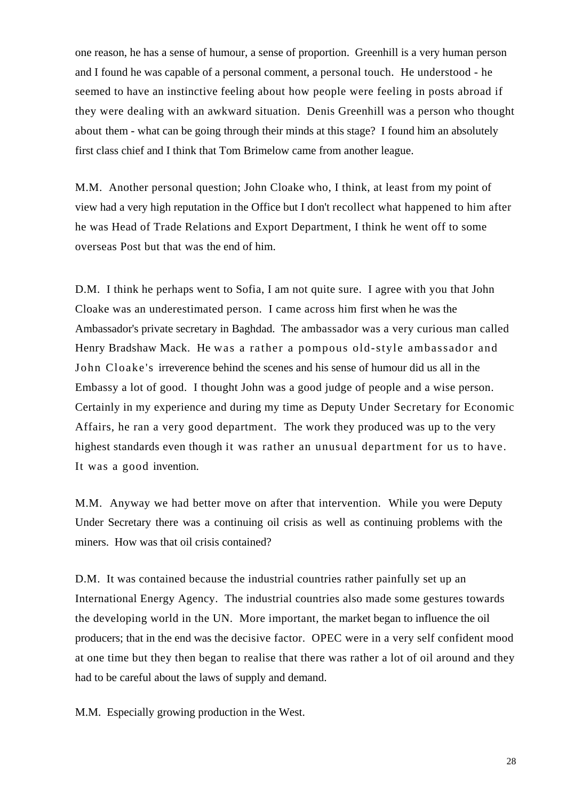one reason, he has a sense of humour, a sense of proportion. Greenhill is a very human person and I found he was capable of a personal comment, a personal touch. He understood - he seemed to have an instinctive feeling about how people were feeling in posts abroad if they were dealing with an awkward situation. Denis Greenhill was a person who thought about them - what can be going through their minds at this stage? I found him an absolutely first class chief and I think that Tom Brimelow came from another league.

M.M. Another personal question; John Cloake who, I think, at least from my point of view had a very high reputation in the Office but I don't recollect what happened to him after he was Head of Trade Relations and Export Department, I think he went off to some overseas Post but that was the end of him.

D.M. I think he perhaps went to Sofia, I am not quite sure. I agree with you that John Cloake was an underestimated person. I came across him first when he was the Ambassador's private secretary in Baghdad. The ambassador was a very curious man called Henry Bradshaw Mack. He was a rather a pompous old-style ambassador and John Cloake's irreverence behind the scenes and his sense of humour did us all in the Embassy a lot of good. I thought John was a good judge of people and a wise person. Certainly in my experience and during my time as Deputy Under Secretary for Economic Affairs, he ran a very good department. The work they produced was up to the very highest standards even though it was rather an unusual department for us to have. It was a good invention.

M.M. Anyway we had better move on after that intervention. While you were Deputy Under Secretary there was a continuing oil crisis as well as continuing problems with the miners. How was that oil crisis contained?

D.M. It was contained because the industrial countries rather painfully set up an International Energy Agency. The industrial countries also made some gestures towards the developing world in the UN. More important, the market began to influence the oil producers; that in the end was the decisive factor. OPEC were in a very self confident mood at one time but they then began to realise that there was rather a lot of oil around and they had to be careful about the laws of supply and demand.

M.M. Especially growing production in the West.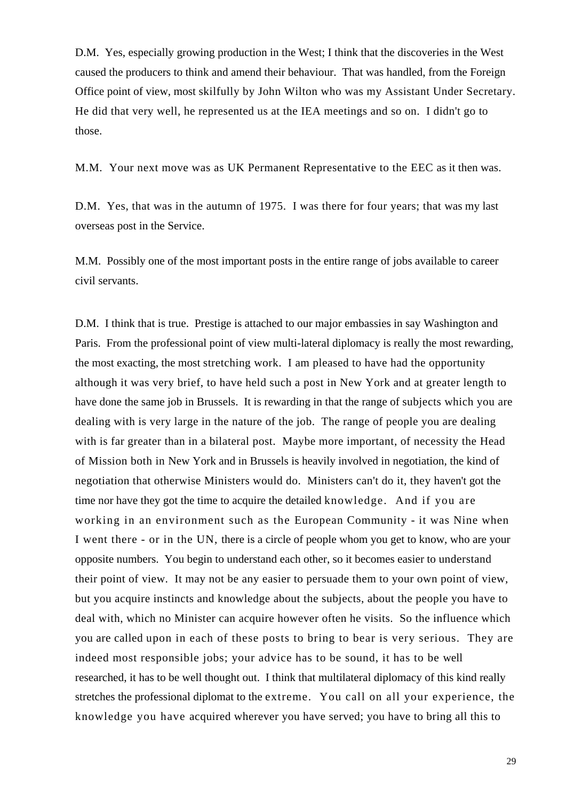D.M. Yes, especially growing production in the West; I think that the discoveries in the West caused the producers to think and amend their behaviour. That was handled, from the Foreign Office point of view, most skilfully by John Wilton who was my Assistant Under Secretary. He did that very well, he represented us at the IEA meetings and so on. I didn't go to those.

M.M. Your next move was as UK Permanent Representative to the EEC as it then was.

D.M. Yes, that was in the autumn of 1975. I was there for four years; that was my last overseas post in the Service.

M.M. Possibly one of the most important posts in the entire range of jobs available to career civil servants.

D.M. I think that is true. Prestige is attached to our major embassies in say Washington and Paris. From the professional point of view multi-lateral diplomacy is really the most rewarding, the most exacting, the most stretching work. I am pleased to have had the opportunity although it was very brief, to have held such a post in New York and at greater length to have done the same job in Brussels. It is rewarding in that the range of subjects which you are dealing with is very large in the nature of the job. The range of people you are dealing with is far greater than in a bilateral post. Maybe more important, of necessity the Head of Mission both in New York and in Brussels is heavily involved in negotiation, the kind of negotiation that otherwise Ministers would do. Ministers can't do it, they haven't got the time nor have they got the time to acquire the detailed knowledge. And if you are working in an environment such as the European Community - it was Nine when I went there - or in the UN, there is a circle of people whom you get to know, who are your opposite numbers. You begin to understand each other, so it becomes easier to understand their point of view. It may not be any easier to persuade them to your own point of view, but you acquire instincts and knowledge about the subjects, about the people you have to deal with, which no Minister can acquire however often he visits. So the influence which you are called upon in each of these posts to bring to bear is very serious. They are indeed most responsible jobs; your advice has to be sound, it has to be well researched, it has to be well thought out. I think that multilateral diplomacy of this kind really stretches the professional diplomat to the extreme. You call on all your experience, the knowledge you have acquired wherever you have served; you have to bring all this to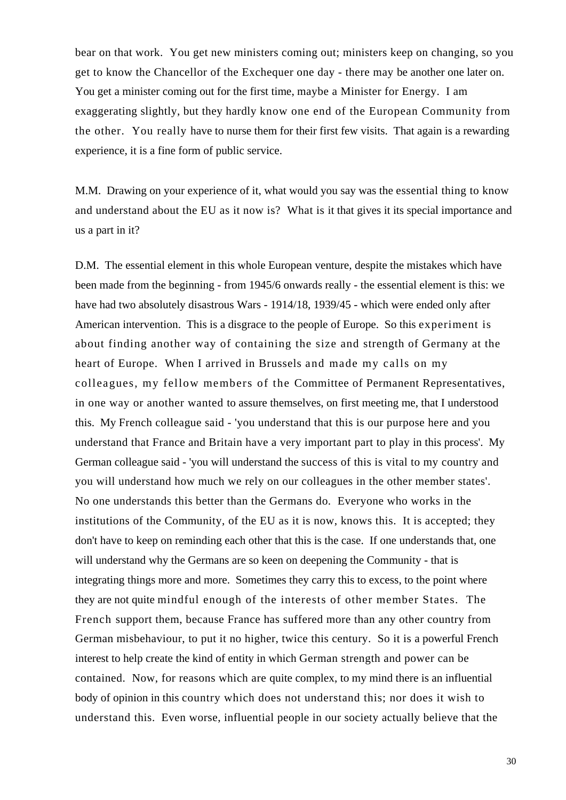bear on that work. You get new ministers coming out; ministers keep on changing, so you get to know the Chancellor of the Exchequer one day - there may be another one later on. You get a minister coming out for the first time, maybe a Minister for Energy. I am exaggerating slightly, but they hardly know one end of the European Community from the other. You really have to nurse them for their first few visits. That again is a rewarding experience, it is a fine form of public service.

M.M. Drawing on your experience of it, what would you say was the essential thing to know and understand about the EU as it now is? What is it that gives it its special importance and us a part in it?

D.M. The essential element in this whole European venture, despite the mistakes which have been made from the beginning - from 1945/6 onwards really - the essential element is this: we have had two absolutely disastrous Wars - 1914/18, 1939/45 - which were ended only after American intervention. This is a disgrace to the people of Europe. So this experiment is about finding another way of containing the size and strength of Germany at the heart of Europe. When I arrived in Brussels and made my calls on my colleagues, my fellow members of the Committee of Permanent Representatives, in one way or another wanted to assure themselves, on first meeting me, that I understood this. My French colleague said - 'you understand that this is our purpose here and you understand that France and Britain have a very important part to play in this process'. My German colleague said - 'you will understand the success of this is vital to my country and you will understand how much we rely on our colleagues in the other member states'. No one understands this better than the Germans do. Everyone who works in the institutions of the Community, of the EU as it is now, knows this. It is accepted; they don't have to keep on reminding each other that this is the case. If one understands that, one will understand why the Germans are so keen on deepening the Community - that is integrating things more and more. Sometimes they carry this to excess, to the point where they are not quite mindful enough of the interests of other member States. The French support them, because France has suffered more than any other country from German misbehaviour, to put it no higher, twice this century. So it is a powerful French interest to help create the kind of entity in which German strength and power can be contained. Now, for reasons which are quite complex, to my mind there is an influential body of opinion in this country which does not understand this; nor does it wish to understand this. Even worse, influential people in our society actually believe that the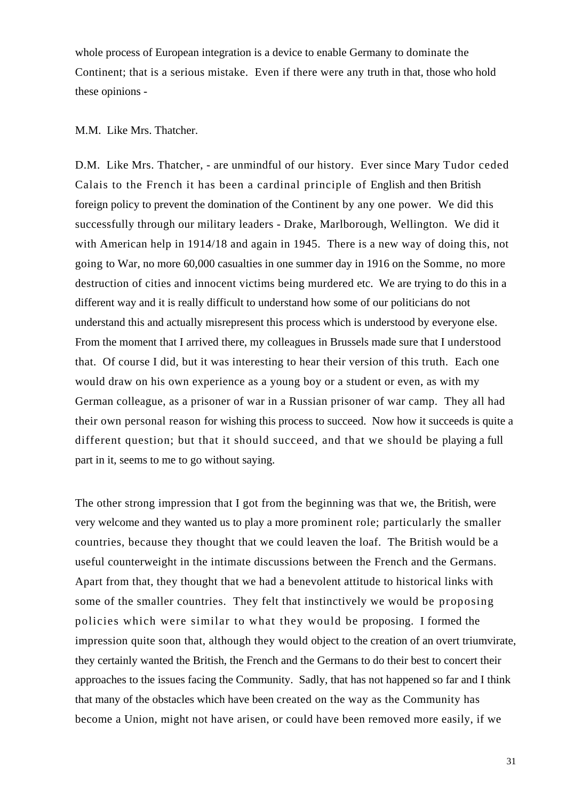whole process of European integration is a device to enable Germany to dominate the Continent; that is a serious mistake. Even if there were any truth in that, those who hold these opinions -

## M.M. Like Mrs. Thatcher.

D.M. Like Mrs. Thatcher, - are unmindful of our history. Ever since Mary Tudor ceded Calais to the French it has been a cardinal principle of English and then British foreign policy to prevent the domination of the Continent by any one power. We did this successfully through our military leaders - Drake, Marlborough, Wellington. We did it with American help in 1914/18 and again in 1945. There is a new way of doing this, not going to War, no more 60,000 casualties in one summer day in 1916 on the Somme, no more destruction of cities and innocent victims being murdered etc. We are trying to do this in a different way and it is really difficult to understand how some of our politicians do not understand this and actually misrepresent this process which is understood by everyone else. From the moment that I arrived there, my colleagues in Brussels made sure that I understood that. Of course I did, but it was interesting to hear their version of this truth. Each one would draw on his own experience as a young boy or a student or even, as with my German colleague, as a prisoner of war in a Russian prisoner of war camp. They all had their own personal reason for wishing this process to succeed. Now how it succeeds is quite a different question; but that it should succeed, and that we should be playing a full part in it, seems to me to go without saying.

The other strong impression that I got from the beginning was that we, the British, were very welcome and they wanted us to play a more prominent role; particularly the smaller countries, because they thought that we could leaven the loaf. The British would be a useful counterweight in the intimate discussions between the French and the Germans. Apart from that, they thought that we had a benevolent attitude to historical links with some of the smaller countries. They felt that instinctively we would be proposing policies which were similar to what they would be proposing. I formed the impression quite soon that, although they would object to the creation of an overt triumvirate, they certainly wanted the British, the French and the Germans to do their best to concert their approaches to the issues facing the Community. Sadly, that has not happened so far and I think that many of the obstacles which have been created on the way as the Community has become a Union, might not have arisen, or could have been removed more easily, if we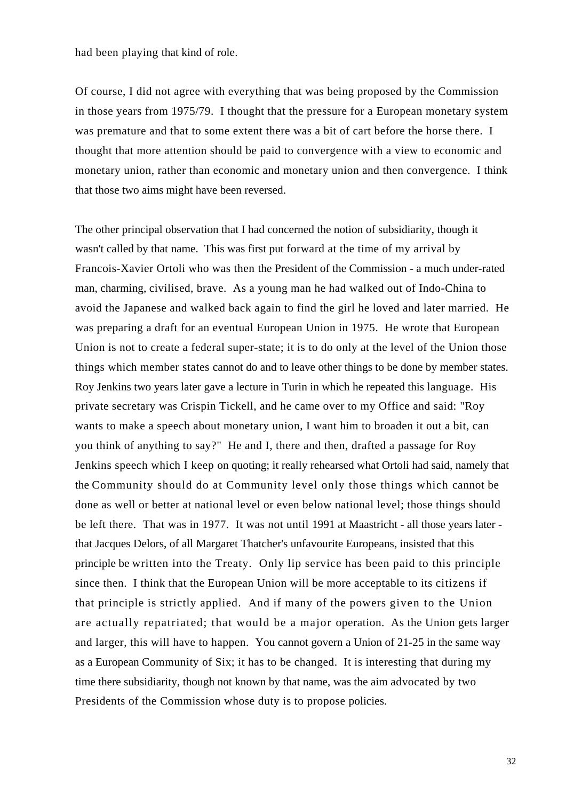had been playing that kind of role.

Of course, I did not agree with everything that was being proposed by the Commission in those years from 1975/79. I thought that the pressure for a European monetary system was premature and that to some extent there was a bit of cart before the horse there. I thought that more attention should be paid to convergence with a view to economic and monetary union, rather than economic and monetary union and then convergence. I think that those two aims might have been reversed.

The other principal observation that I had concerned the notion of subsidiarity, though it wasn't called by that name. This was first put forward at the time of my arrival by Francois-Xavier Ortoli who was then the President of the Commission - a much under-rated man, charming, civilised, brave. As a young man he had walked out of Indo-China to avoid the Japanese and walked back again to find the girl he loved and later married. He was preparing a draft for an eventual European Union in 1975. He wrote that European Union is not to create a federal super-state; it is to do only at the level of the Union those things which member states cannot do and to leave other things to be done by member states. Roy Jenkins two years later gave a lecture in Turin in which he repeated this language. His private secretary was Crispin Tickell, and he came over to my Office and said: "Roy wants to make a speech about monetary union, I want him to broaden it out a bit, can you think of anything to say?" He and I, there and then, drafted a passage for Roy Jenkins speech which I keep on quoting; it really rehearsed what Ortoli had said, namely that the Community should do at Community level only those things which cannot be done as well or better at national level or even below national level; those things should be left there. That was in 1977. It was not until 1991 at Maastricht - all those years later that Jacques Delors, of all Margaret Thatcher's unfavourite Europeans, insisted that this principle be written into the Treaty. Only lip service has been paid to this principle since then. I think that the European Union will be more acceptable to its citizens if that principle is strictly applied. And if many of the powers given to the Union are actually repatriated; that would be a major operation. As the Union gets larger and larger, this will have to happen. You cannot govern a Union of 21-25 in the same way as a European Community of Six; it has to be changed. It is interesting that during my time there subsidiarity, though not known by that name, was the aim advocated by two Presidents of the Commission whose duty is to propose policies.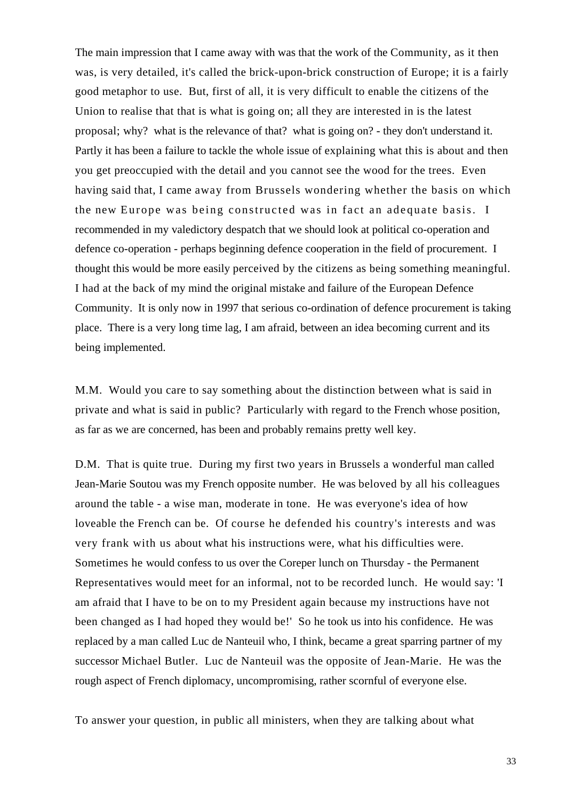The main impression that I came away with was that the work of the Community, as it then was, is very detailed, it's called the brick-upon-brick construction of Europe; it is a fairly good metaphor to use. But, first of all, it is very difficult to enable the citizens of the Union to realise that that is what is going on; all they are interested in is the latest proposal; why? what is the relevance of that? what is going on? - they don't understand it. Partly it has been a failure to tackle the whole issue of explaining what this is about and then you get preoccupied with the detail and you cannot see the wood for the trees. Even having said that, I came away from Brussels wondering whether the basis on which the new Europe was being constructed was in fact an adequate basis. I recommended in my valedictory despatch that we should look at political co-operation and defence co-operation - perhaps beginning defence cooperation in the field of procurement. I thought this would be more easily perceived by the citizens as being something meaningful. I had at the back of my mind the original mistake and failure of the European Defence Community. It is only now in 1997 that serious co-ordination of defence procurement is taking place. There is a very long time lag, I am afraid, between an idea becoming current and its being implemented.

M.M. Would you care to say something about the distinction between what is said in private and what is said in public? Particularly with regard to the French whose position, as far as we are concerned, has been and probably remains pretty well key.

D.M. That is quite true. During my first two years in Brussels a wonderful man called Jean-Marie Soutou was my French opposite number. He was beloved by all his colleagues around the table - a wise man, moderate in tone. He was everyone's idea of how loveable the French can be. Of course he defended his country's interests and was very frank with us about what his instructions were, what his difficulties were. Sometimes he would confess to us over the Coreper lunch on Thursday - the Permanent Representatives would meet for an informal, not to be recorded lunch. He would say: 'I am afraid that I have to be on to my President again because my instructions have not been changed as I had hoped they would be!' So he took us into his confidence. He was replaced by a man called Luc de Nanteuil who, I think, became a great sparring partner of my successor Michael Butler. Luc de Nanteuil was the opposite of Jean-Marie. He was the rough aspect of French diplomacy, uncompromising, rather scornful of everyone else.

To answer your question, in public all ministers, when they are talking about what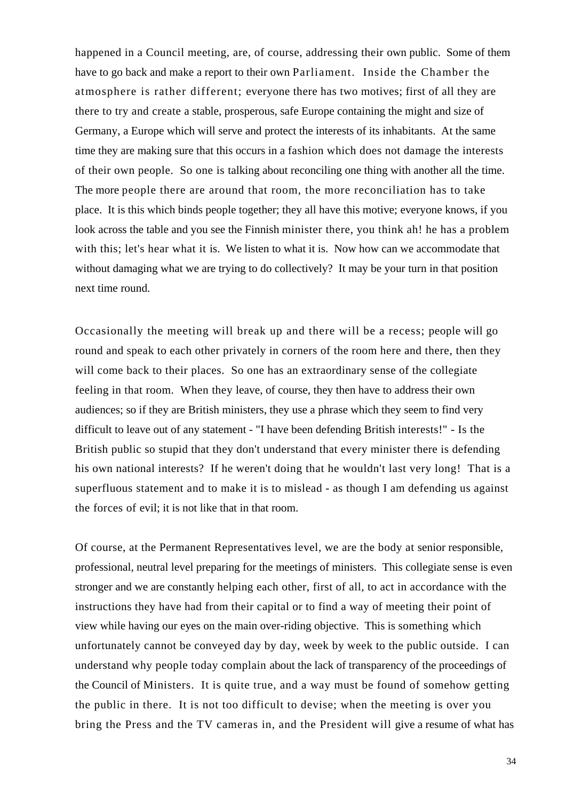happened in a Council meeting, are, of course, addressing their own public. Some of them have to go back and make a report to their own Parliament. Inside the Chamber the atmosphere is rather different; everyone there has two motives; first of all they are there to try and create a stable, prosperous, safe Europe containing the might and size of Germany, a Europe which will serve and protect the interests of its inhabitants. At the same time they are making sure that this occurs in a fashion which does not damage the interests of their own people. So one is talking about reconciling one thing with another all the time. The more people there are around that room, the more reconciliation has to take place. It is this which binds people together; they all have this motive; everyone knows, if you look across the table and you see the Finnish minister there, you think ah! he has a problem with this; let's hear what it is. We listen to what it is. Now how can we accommodate that without damaging what we are trying to do collectively? It may be your turn in that position next time round.

Occasionally the meeting will break up and there will be a recess; people will go round and speak to each other privately in corners of the room here and there, then they will come back to their places. So one has an extraordinary sense of the collegiate feeling in that room. When they leave, of course, they then have to address their own audiences; so if they are British ministers, they use a phrase which they seem to find very difficult to leave out of any statement - "I have been defending British interests!" - Is the British public so stupid that they don't understand that every minister there is defending his own national interests? If he weren't doing that he wouldn't last very long! That is a superfluous statement and to make it is to mislead - as though I am defending us against the forces of evil; it is not like that in that room.

Of course, at the Permanent Representatives level, we are the body at senior responsible, professional, neutral level preparing for the meetings of ministers. This collegiate sense is even stronger and we are constantly helping each other, first of all, to act in accordance with the instructions they have had from their capital or to find a way of meeting their point of view while having our eyes on the main over-riding objective. This is something which unfortunately cannot be conveyed day by day, week by week to the public outside. I can understand why people today complain about the lack of transparency of the proceedings of the Council of Ministers. It is quite true, and a way must be found of somehow getting the public in there. It is not too difficult to devise; when the meeting is over you bring the Press and the TV cameras in, and the President will give a resume of what has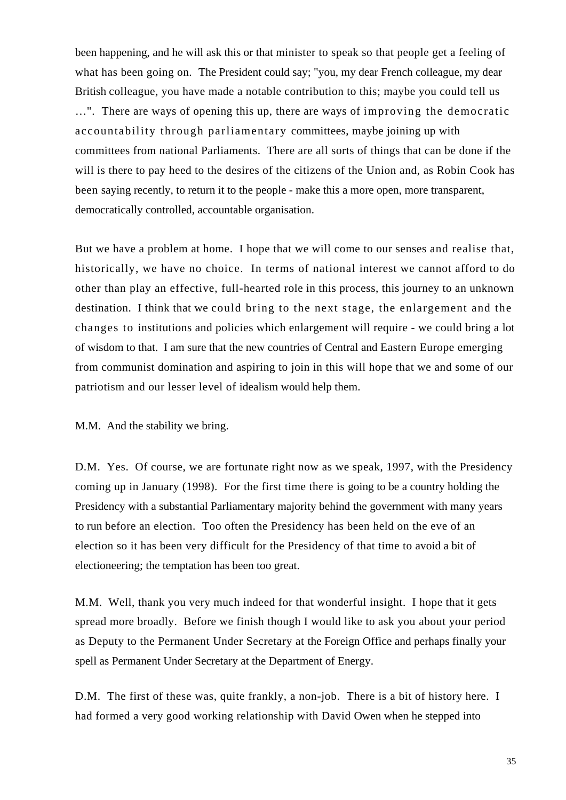been happening, and he will ask this or that minister to speak so that people get a feeling of what has been going on. The President could say; "you, my dear French colleague, my dear British colleague, you have made a notable contribution to this; maybe you could tell us …". There are ways of opening this up, there are ways of improving the democratic accountability through parliamentary committees, maybe joining up with committees from national Parliaments. There are all sorts of things that can be done if the will is there to pay heed to the desires of the citizens of the Union and, as Robin Cook has been saying recently, to return it to the people - make this a more open, more transparent, democratically controlled, accountable organisation.

But we have a problem at home. I hope that we will come to our senses and realise that, historically, we have no choice. In terms of national interest we cannot afford to do other than play an effective, full-hearted role in this process, this journey to an unknown destination. I think that we could bring to the next stage, the enlargement and the changes to institutions and policies which enlargement will require - we could bring a lot of wisdom to that. I am sure that the new countries of Central and Eastern Europe emerging from communist domination and aspiring to join in this will hope that we and some of our patriotism and our lesser level of idealism would help them.

M.M. And the stability we bring.

D.M. Yes. Of course, we are fortunate right now as we speak, 1997, with the Presidency coming up in January (1998). For the first time there is going to be a country holding the Presidency with a substantial Parliamentary majority behind the government with many years to run before an election. Too often the Presidency has been held on the eve of an election so it has been very difficult for the Presidency of that time to avoid a bit of electioneering; the temptation has been too great.

M.M. Well, thank you very much indeed for that wonderful insight. I hope that it gets spread more broadly. Before we finish though I would like to ask you about your period as Deputy to the Permanent Under Secretary at the Foreign Office and perhaps finally your spell as Permanent Under Secretary at the Department of Energy.

D.M. The first of these was, quite frankly, a non-job. There is a bit of history here. I had formed a very good working relationship with David Owen when he stepped into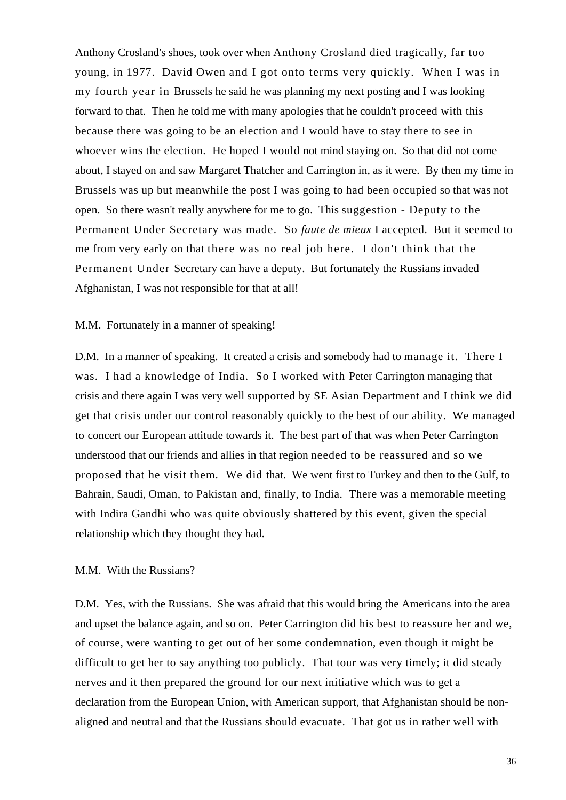Anthony Crosland's shoes, took over when Anthony Crosland died tragically, far too young, in 1977. David Owen and I got onto terms very quickly. When I was in my fourth year in Brussels he said he was planning my next posting and I was looking forward to that. Then he told me with many apologies that he couldn't proceed with this because there was going to be an election and I would have to stay there to see in whoever wins the election. He hoped I would not mind staying on. So that did not come about, I stayed on and saw Margaret Thatcher and Carrington in, as it were. By then my time in Brussels was up but meanwhile the post I was going to had been occupied so that was not open. So there wasn't really anywhere for me to go. This suggestion - Deputy to the Permanent Under Secretary was made. So *faute de mieux* I accepted. But it seemed to me from very early on that there was no real job here. I don't think that the Permanent Under Secretary can have a deputy. But fortunately the Russians invaded Afghanistan, I was not responsible for that at all!

#### M.M. Fortunately in a manner of speaking!

D.M. In a manner of speaking. It created a crisis and somebody had to manage it. There I was. I had a knowledge of India. So I worked with Peter Carrington managing that crisis and there again I was very well supported by SE Asian Department and I think we did get that crisis under our control reasonably quickly to the best of our ability. We managed to concert our European attitude towards it. The best part of that was when Peter Carrington understood that our friends and allies in that region needed to be reassured and so we proposed that he visit them. We did that. We went first to Turkey and then to the Gulf, to Bahrain, Saudi, Oman, to Pakistan and, finally, to India. There was a memorable meeting with Indira Gandhi who was quite obviously shattered by this event, given the special relationship which they thought they had.

#### M.M. With the Russians?

D.M. Yes, with the Russians. She was afraid that this would bring the Americans into the area and upset the balance again, and so on. Peter Carrington did his best to reassure her and we, of course, were wanting to get out of her some condemnation, even though it might be difficult to get her to say anything too publicly. That tour was very timely; it did steady nerves and it then prepared the ground for our next initiative which was to get a declaration from the European Union, with American support, that Afghanistan should be nonaligned and neutral and that the Russians should evacuate. That got us in rather well with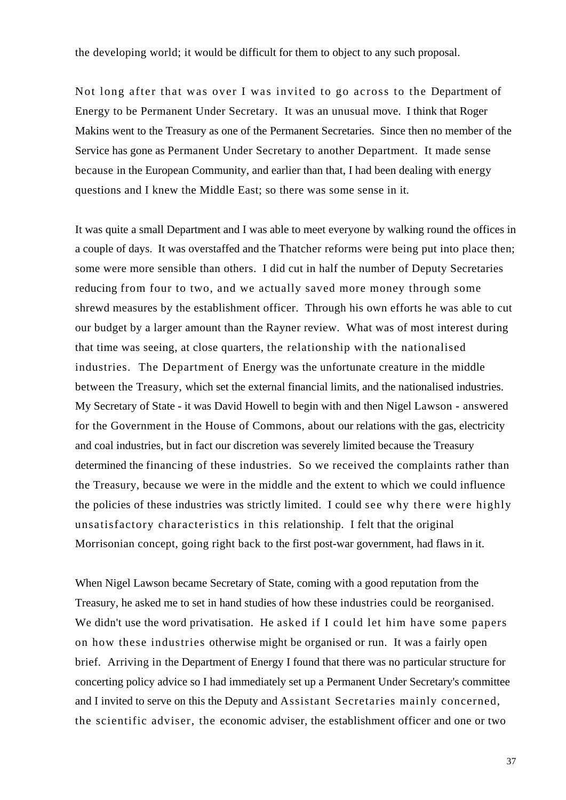the developing world; it would be difficult for them to object to any such proposal.

Not long after that was over I was invited to go across to the Department of Energy to be Permanent Under Secretary. It was an unusual move. I think that Roger Makins went to the Treasury as one of the Permanent Secretaries. Since then no member of the Service has gone as Permanent Under Secretary to another Department. It made sense because in the European Community, and earlier than that, I had been dealing with energy questions and I knew the Middle East; so there was some sense in it.

It was quite a small Department and I was able to meet everyone by walking round the offices in a couple of days. It was overstaffed and the Thatcher reforms were being put into place then; some were more sensible than others. I did cut in half the number of Deputy Secretaries reducing from four to two, and we actually saved more money through some shrewd measures by the establishment officer. Through his own efforts he was able to cut our budget by a larger amount than the Rayner review. What was of most interest during that time was seeing, at close quarters, the relationship with the nationalised industries. The Department of Energy was the unfortunate creature in the middle between the Treasury, which set the external financial limits, and the nationalised industries. My Secretary of State - it was David Howell to begin with and then Nigel Lawson - answered for the Government in the House of Commons, about our relations with the gas, electricity and coal industries, but in fact our discretion was severely limited because the Treasury determined the financing of these industries. So we received the complaints rather than the Treasury, because we were in the middle and the extent to which we could influence the policies of these industries was strictly limited. I could see why there were highly unsatisfactory characteristics in this relationship. I felt that the original Morrisonian concept, going right back to the first post-war government, had flaws in it.

When Nigel Lawson became Secretary of State, coming with a good reputation from the Treasury, he asked me to set in hand studies of how these industries could be reorganised. We didn't use the word privatisation. He asked if I could let him have some papers on how these industries otherwise might be organised or run. It was a fairly open brief. Arriving in the Department of Energy I found that there was no particular structure for concerting policy advice so I had immediately set up a Permanent Under Secretary's committee and I invited to serve on this the Deputy and Assistant Secretaries mainly concerned, the scientific adviser, the economic adviser, the establishment officer and one or two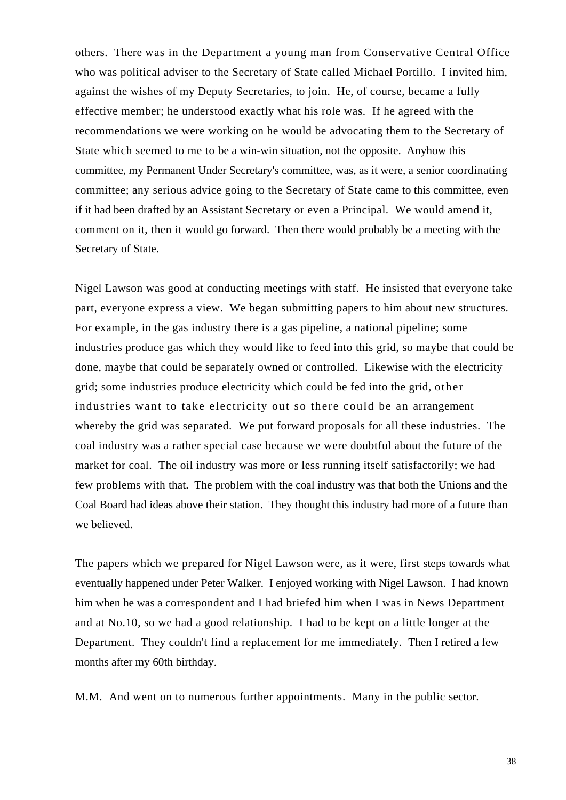others. There was in the Department a young man from Conservative Central Office who was political adviser to the Secretary of State called Michael Portillo. I invited him, against the wishes of my Deputy Secretaries, to join. He, of course, became a fully effective member; he understood exactly what his role was. If he agreed with the recommendations we were working on he would be advocating them to the Secretary of State which seemed to me to be a win-win situation, not the opposite. Anyhow this committee, my Permanent Under Secretary's committee, was, as it were, a senior coordinating committee; any serious advice going to the Secretary of State came to this committee, even if it had been drafted by an Assistant Secretary or even a Principal. We would amend it, comment on it, then it would go forward. Then there would probably be a meeting with the Secretary of State.

Nigel Lawson was good at conducting meetings with staff. He insisted that everyone take part, everyone express a view. We began submitting papers to him about new structures. For example, in the gas industry there is a gas pipeline, a national pipeline; some industries produce gas which they would like to feed into this grid, so maybe that could be done, maybe that could be separately owned or controlled. Likewise with the electricity grid; some industries produce electricity which could be fed into the grid, other industries want to take electricity out so there could be an arrangement whereby the grid was separated. We put forward proposals for all these industries. The coal industry was a rather special case because we were doubtful about the future of the market for coal. The oil industry was more or less running itself satisfactorily; we had few problems with that. The problem with the coal industry was that both the Unions and the Coal Board had ideas above their station. They thought this industry had more of a future than we believed.

The papers which we prepared for Nigel Lawson were, as it were, first steps towards what eventually happened under Peter Walker. I enjoyed working with Nigel Lawson. I had known him when he was a correspondent and I had briefed him when I was in News Department and at No.10, so we had a good relationship. I had to be kept on a little longer at the Department. They couldn't find a replacement for me immediately. Then I retired a few months after my 60th birthday.

M.M. And went on to numerous further appointments. Many in the public sector.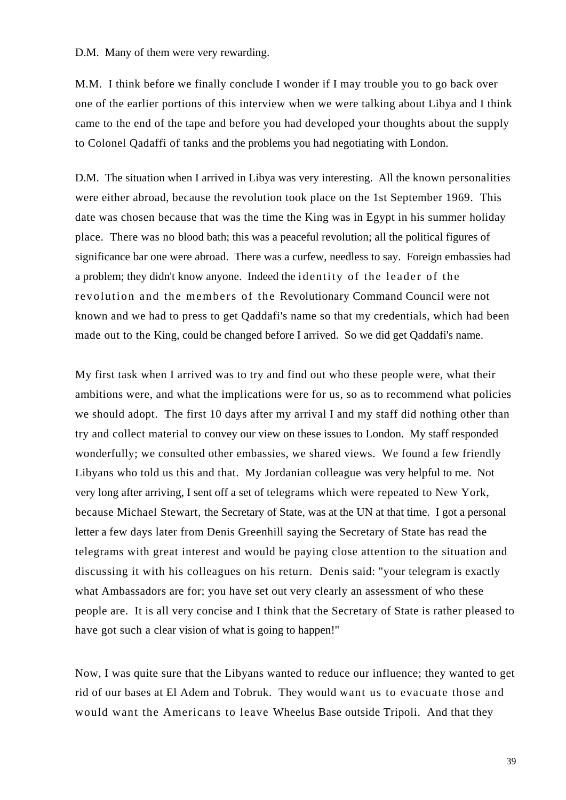D.M. Many of them were very rewarding.

M.M. I think before we finally conclude I wonder if I may trouble you to go back over one of the earlier portions of this interview when we were talking about Libya and I think came to the end of the tape and before you had developed your thoughts about the supply to Colonel Qadaffi of tanks and the problems you had negotiating with London.

D.M. The situation when I arrived in Libya was very interesting. All the known personalities were either abroad, because the revolution took place on the 1st September 1969. This date was chosen because that was the time the King was in Egypt in his summer holiday place. There was no blood bath; this was a peaceful revolution; all the political figures of significance bar one were abroad. There was a curfew, needless to say. Foreign embassies had a problem; they didn't know anyone. Indeed the identity of the leader of the revolution and the members of the Revolutionary Command Council were not known and we had to press to get Qaddafi's name so that my credentials, which had been made out to the King, could be changed before I arrived. So we did get Qaddafi's name.

My first task when I arrived was to try and find out who these people were, what their ambitions were, and what the implications were for us, so as to recommend what policies we should adopt. The first 10 days after my arrival I and my staff did nothing other than try and collect material to convey our view on these issues to London. My staff responded wonderfully; we consulted other embassies, we shared views. We found a few friendly Libyans who told us this and that. My Jordanian colleague was very helpful to me. Not very long after arriving, I sent off a set of telegrams which were repeated to New York, because Michael Stewart, the Secretary of State, was at the UN at that time. I got a personal letter a few days later from Denis Greenhill saying the Secretary of State has read the telegrams with great interest and would be paying close attention to the situation and discussing it with his colleagues on his return. Denis said: "your telegram is exactly what Ambassadors are for; you have set out very clearly an assessment of who these people are. It is all very concise and I think that the Secretary of State is rather pleased to have got such a clear vision of what is going to happen!"

Now, I was quite sure that the Libyans wanted to reduce our influence; they wanted to get rid of our bases at El Adem and Tobruk. They would want us to evacuate those and would want the Americans to leave Wheelus Base outside Tripoli. And that they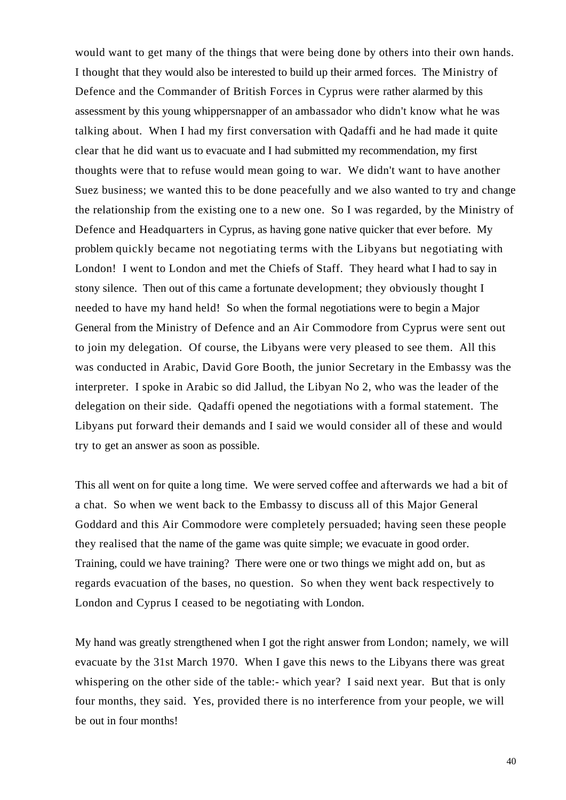would want to get many of the things that were being done by others into their own hands. I thought that they would also be interested to build up their armed forces. The Ministry of Defence and the Commander of British Forces in Cyprus were rather alarmed by this assessment by this young whippersnapper of an ambassador who didn't know what he was talking about. When I had my first conversation with Qadaffi and he had made it quite clear that he did want us to evacuate and I had submitted my recommendation, my first thoughts were that to refuse would mean going to war. We didn't want to have another Suez business; we wanted this to be done peacefully and we also wanted to try and change the relationship from the existing one to a new one. So I was regarded, by the Ministry of Defence and Headquarters in Cyprus, as having gone native quicker that ever before. My problem quickly became not negotiating terms with the Libyans but negotiating with London! I went to London and met the Chiefs of Staff. They heard what I had to say in stony silence. Then out of this came a fortunate development; they obviously thought I needed to have my hand held! So when the formal negotiations were to begin a Major General from the Ministry of Defence and an Air Commodore from Cyprus were sent out to join my delegation. Of course, the Libyans were very pleased to see them. All this was conducted in Arabic, David Gore Booth, the junior Secretary in the Embassy was the interpreter. I spoke in Arabic so did Jallud, the Libyan No 2, who was the leader of the delegation on their side. Qadaffi opened the negotiations with a formal statement. The Libyans put forward their demands and I said we would consider all of these and would try to get an answer as soon as possible.

This all went on for quite a long time. We were served coffee and afterwards we had a bit of a chat. So when we went back to the Embassy to discuss all of this Major General Goddard and this Air Commodore were completely persuaded; having seen these people they realised that the name of the game was quite simple; we evacuate in good order. Training, could we have training? There were one or two things we might add on, but as regards evacuation of the bases, no question. So when they went back respectively to London and Cyprus I ceased to be negotiating with London.

My hand was greatly strengthened when I got the right answer from London; namely, we will evacuate by the 31st March 1970. When I gave this news to the Libyans there was great whispering on the other side of the table:- which year? I said next year. But that is only four months, they said. Yes, provided there is no interference from your people, we will be out in four months!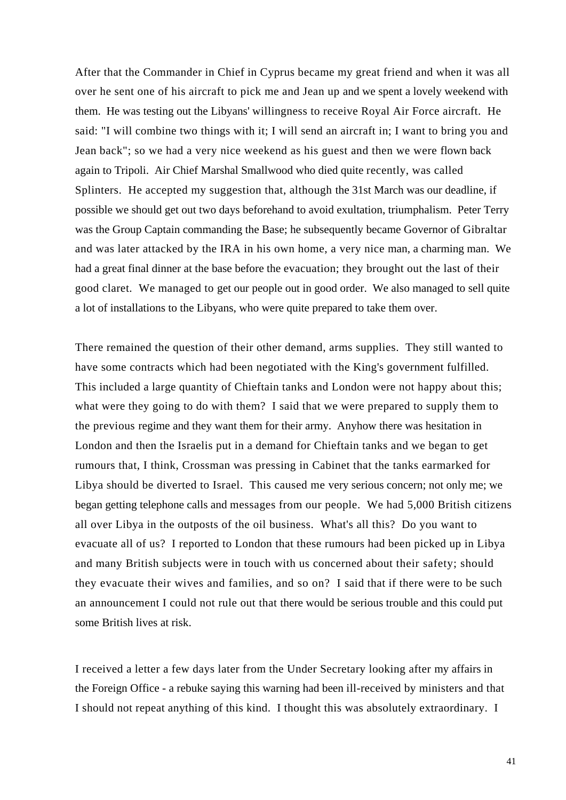After that the Commander in Chief in Cyprus became my great friend and when it was all over he sent one of his aircraft to pick me and Jean up and we spent a lovely weekend with them. He was testing out the Libyans' willingness to receive Royal Air Force aircraft. He said: "I will combine two things with it; I will send an aircraft in; I want to bring you and Jean back"; so we had a very nice weekend as his guest and then we were flown back again to Tripoli. Air Chief Marshal Smallwood who died quite recently, was called Splinters. He accepted my suggestion that, although the 31st March was our deadline, if possible we should get out two days beforehand to avoid exultation, triumphalism. Peter Terry was the Group Captain commanding the Base; he subsequently became Governor of Gibraltar and was later attacked by the IRA in his own home, a very nice man, a charming man. We had a great final dinner at the base before the evacuation; they brought out the last of their good claret. We managed to get our people out in good order. We also managed to sell quite a lot of installations to the Libyans, who were quite prepared to take them over.

There remained the question of their other demand, arms supplies. They still wanted to have some contracts which had been negotiated with the King's government fulfilled. This included a large quantity of Chieftain tanks and London were not happy about this; what were they going to do with them? I said that we were prepared to supply them to the previous regime and they want them for their army. Anyhow there was hesitation in London and then the Israelis put in a demand for Chieftain tanks and we began to get rumours that, I think, Crossman was pressing in Cabinet that the tanks earmarked for Libya should be diverted to Israel. This caused me very serious concern; not only me; we began getting telephone calls and messages from our people. We had 5,000 British citizens all over Libya in the outposts of the oil business. What's all this? Do you want to evacuate all of us? I reported to London that these rumours had been picked up in Libya and many British subjects were in touch with us concerned about their safety; should they evacuate their wives and families, and so on? I said that if there were to be such an announcement I could not rule out that there would be serious trouble and this could put some British lives at risk.

I received a letter a few days later from the Under Secretary looking after my affairs in the Foreign Office - a rebuke saying this warning had been ill-received by ministers and that I should not repeat anything of this kind. I thought this was absolutely extraordinary. I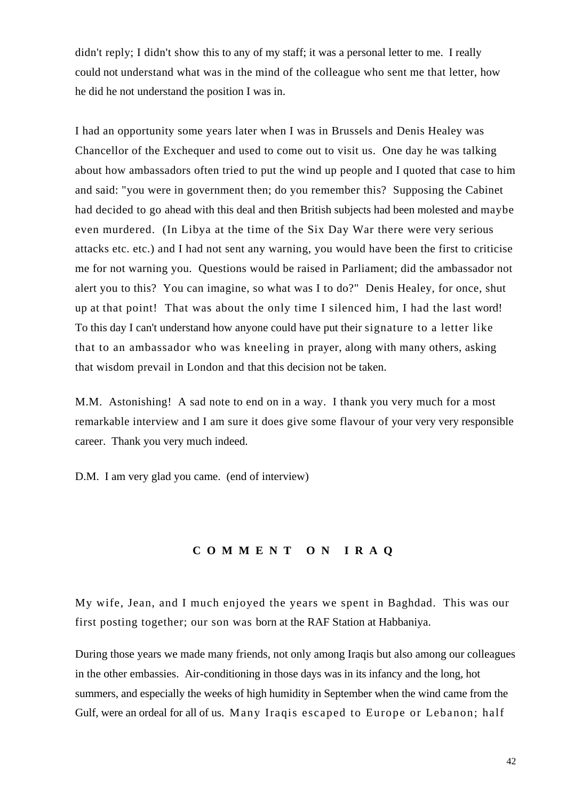didn't reply; I didn't show this to any of my staff; it was a personal letter to me. I really could not understand what was in the mind of the colleague who sent me that letter, how he did he not understand the position I was in.

I had an opportunity some years later when I was in Brussels and Denis Healey was Chancellor of the Exchequer and used to come out to visit us. One day he was talking about how ambassadors often tried to put the wind up people and I quoted that case to him and said: "you were in government then; do you remember this? Supposing the Cabinet had decided to go ahead with this deal and then British subjects had been molested and maybe even murdered. (In Libya at the time of the Six Day War there were very serious attacks etc. etc.) and I had not sent any warning, you would have been the first to criticise me for not warning you. Questions would be raised in Parliament; did the ambassador not alert you to this? You can imagine, so what was I to do?" Denis Healey, for once, shut up at that point! That was about the only time I silenced him, I had the last word! To this day I can't understand how anyone could have put their signature to a letter like that to an ambassador who was kneeling in prayer, along with many others, asking that wisdom prevail in London and that this decision not be taken.

M.M. Astonishing! A sad note to end on in a way. I thank you very much for a most remarkable interview and I am sure it does give some flavour of your very very responsible career. Thank you very much indeed.

D.M. I am very glad you came. (end of interview)

## **COMMENT ON IRAQ**

My wife, Jean, and I much enjoyed the years we spent in Baghdad. This was our first posting together; our son was born at the RAF Station at Habbaniya.

During those years we made many friends, not only among Iraqis but also among our colleagues in the other embassies. Air-conditioning in those days was in its infancy and the long, hot summers, and especially the weeks of high humidity in September when the wind came from the Gulf, were an ordeal for all of us. Many Iraqis escaped to Europe or Lebanon; half